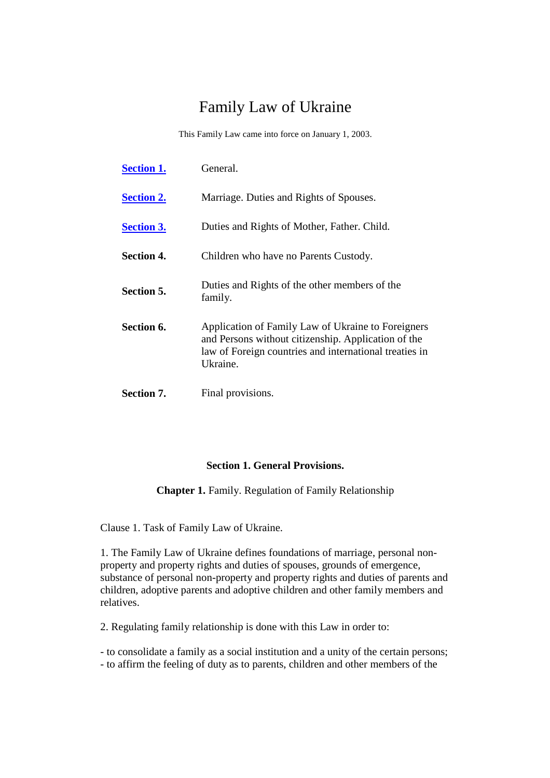# Family Law of Ukraine

This Family Law came into force on January 1, 2003.

| <b>Section 1.</b> | General.                                                                                                                                                                        |
|-------------------|---------------------------------------------------------------------------------------------------------------------------------------------------------------------------------|
| <b>Section 2.</b> | Marriage. Duties and Rights of Spouses.                                                                                                                                         |
| <b>Section 3.</b> | Duties and Rights of Mother, Father. Child.                                                                                                                                     |
| <b>Section 4.</b> | Children who have no Parents Custody.                                                                                                                                           |
| Section 5.        | Duties and Rights of the other members of the<br>family.                                                                                                                        |
| Section 6.        | Application of Family Law of Ukraine to Foreigners<br>and Persons without citizenship. Application of the<br>law of Foreign countries and international treaties in<br>Ukraine. |
| Section 7.        | Final provisions.                                                                                                                                                               |

#### **Section 1. General Provisions.**

**Chapter 1.** Family. Regulation of Family Relationship

Clause 1. Task of Family Law of Ukraine.

1. The Family Law of Ukraine defines foundations of marriage, personal nonproperty and property rights and duties of spouses, grounds of emergence, substance of personal non-property and property rights and duties of parents and children, adoptive parents and adoptive children and other family members and relatives.

2. Regulating family relationship is done with this Law in order to:

- to consolidate a family as a social institution and a unity of the certain persons; - to affirm the feeling of duty as to parents, children and other members of the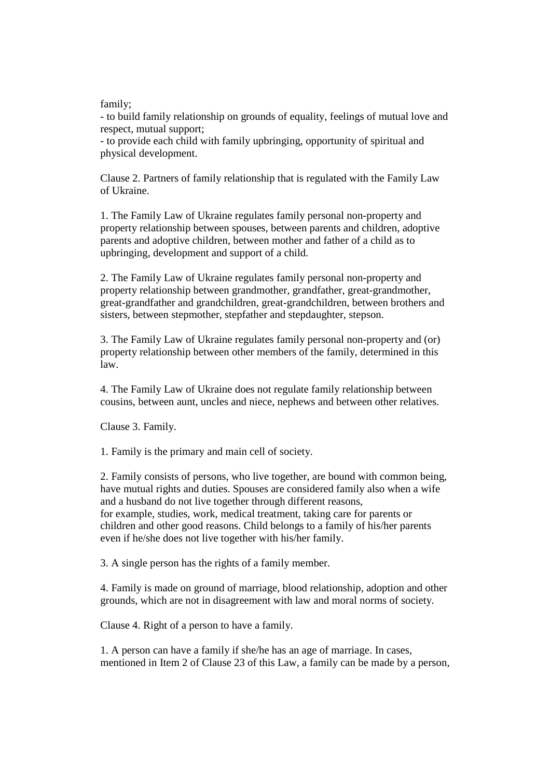family;

- to build family relationship on grounds of equality, feelings of mutual love and respect, mutual support;

- to provide each child with family upbringing, opportunity of spiritual and physical development.

Clause 2. Partners of family relationship that is regulated with the Family Law of Ukraine.

1. The Family Law of Ukraine regulates family personal non-property and property relationship between spouses, between parents and children, adoptive parents and adoptive children, between mother and father of a child as to upbringing, development and support of a child.

2. The Family Law of Ukraine regulates family personal non-property and property relationship between grandmother, grandfather, great-grandmother, great-grandfather and grandchildren, great-grandchildren, between brothers and sisters, between stepmother, stepfather and stepdaughter, stepson.

3. The Family Law of Ukraine regulates family personal non-property and (or) property relationship between other members of the family, determined in this law.

4. The Family Law of Ukraine does not regulate family relationship between cousins, between aunt, uncles and niece, nephews and between other relatives.

Clause 3. Family.

1. Family is the primary and main cell of society.

2. Family consists of persons, who live together, are bound with common being, have mutual rights and duties. Spouses are considered family also when a wife and a husband do not live together through different reasons, for example, studies, work, medical treatment, taking care for parents or children and other good reasons. Child belongs to a family of his/her parents even if he/she does not live together with his/her family.

3. A single person has the rights of a family member.

4. Family is made on ground of marriage, blood relationship, adoption and other grounds, which are not in disagreement with law and moral norms of society.

Clause 4. Right of a person to have a family.

1. A person can have a family if she/he has an age of marriage. In cases, mentioned in Item 2 of Clause 23 of this Law, a family can be made by a person,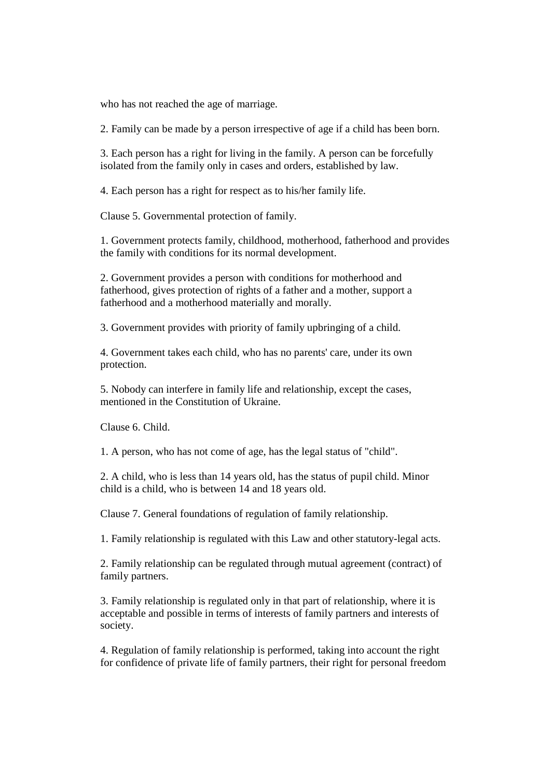who has not reached the age of marriage.

2. Family can be made by a person irrespective of age if a child has been born.

3. Each person has a right for living in the family. A person can be forcefully isolated from the family only in cases and orders, established by law.

4. Each person has a right for respect as to his/her family life.

Clause 5. Governmental protection of family.

1. Government protects family, childhood, motherhood, fatherhood and provides the family with conditions for its normal development.

2. Government provides a person with conditions for motherhood and fatherhood, gives protection of rights of a father and a mother, support a fatherhood and a motherhood materially and morally.

3. Government provides with priority of family upbringing of a child.

4. Government takes each child, who has no parents' care, under its own protection.

5. Nobody can interfere in family life and relationship, except the cases, mentioned in the Constitution of Ukraine.

Clause 6. Child.

1. A person, who has not come of age, has the legal status of "child".

2. A child, who is less than 14 years old, has the status of pupil child. Minor child is a child, who is between 14 and 18 years old.

Clause 7. General foundations of regulation of family relationship.

1. Family relationship is regulated with this Law and other statutory-legal acts.

2. Family relationship can be regulated through mutual agreement (contract) of family partners.

3. Family relationship is regulated only in that part of relationship, where it is acceptable and possible in terms of interests of family partners and interests of society.

4. Regulation of family relationship is performed, taking into account the right for confidence of private life of family partners, their right for personal freedom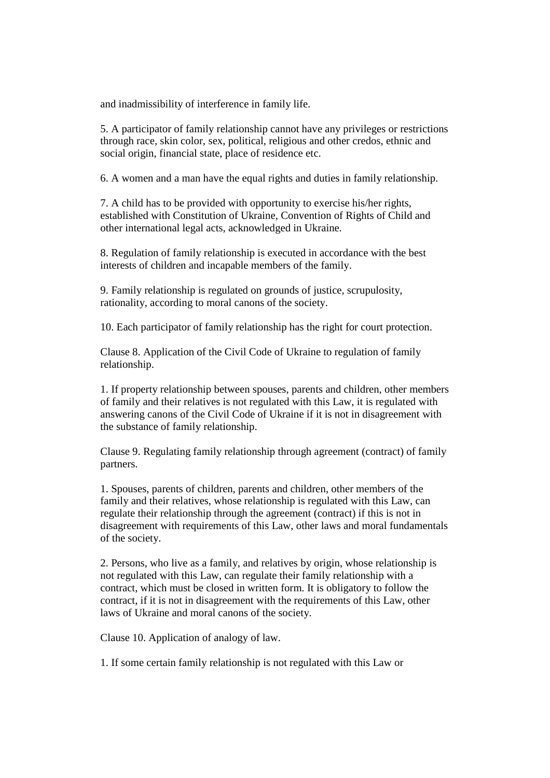and inadmissibility of interference in family life.

5. A participator of family relationship cannot have any privileges or restrictions through race, skin color, sex, political, religious and other credos, ethnic and social origin, financial state, place of residence etc.

6. A women and a man have the equal rights and duties in family relationship.

7. A child has to be provided with opportunity to exercise his/her rights, established with Constitution of Ukraine, Convention of Rights of Child and other international legal acts, acknowledged in Ukraine.

8. Regulation of family relationship is executed in accordance with the best interests of children and incapable members of the family.

9. Family relationship is regulated on grounds of justice, scrupulosity, rationality, according to moral canons of the society.

10. Each participator of family relationship has the right for court protection.

Clause 8. Application of the Civil Code of Ukraine to regulation of family relationship.

1. If property relationship between spouses, parents and children, other members of family and their relatives is not regulated with this Law, it is regulated with answering canons of the Civil Code of Ukraine if it is not in disagreement with the substance of family relationship.

Clause 9. Regulating family relationship through agreement (contract) of family partners.

1. Spouses, parents of children, parents and children, other members of the family and their relatives, whose relationship is regulated with this Law, can regulate their relationship through the agreement (contract) if this is not in disagreement with requirements of this Law, other laws and moral fundamentals of the society.

2. Persons, who live as a family, and relatives by origin, whose relationship is not regulated with this Law, can regulate their family relationship with a contract, which must be closed in written form. It is obligatory to follow the contract, if it is not in disagreement with the requirements of this Law, other laws of Ukraine and moral canons of the society.

Clause 10. Application of analogy of law.

1. If some certain family relationship is not regulated with this Law or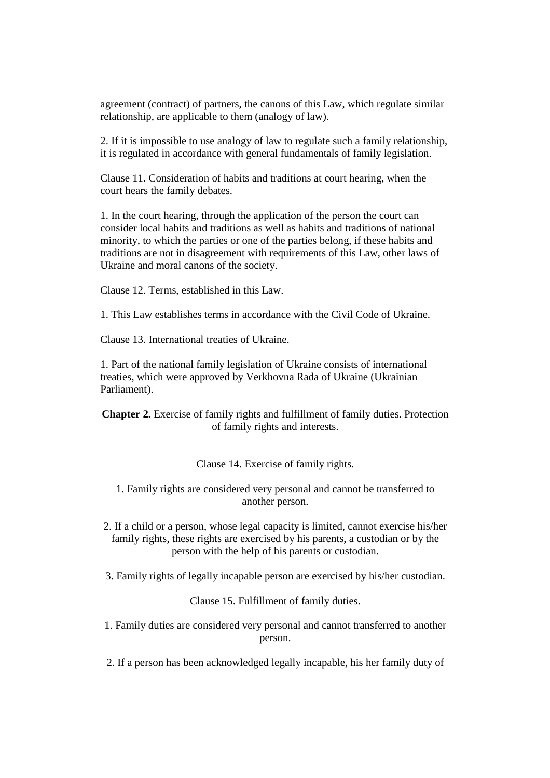agreement (contract) of partners, the canons of this Law, which regulate similar relationship, are applicable to them (analogy of law).

2. If it is impossible to use analogy of law to regulate such a family relationship, it is regulated in accordance with general fundamentals of family legislation.

Clause 11. Consideration of habits and traditions at court hearing, when the court hears the family debates.

1. In the court hearing, through the application of the person the court can consider local habits and traditions as well as habits and traditions of national minority, to which the parties or one of the parties belong, if these habits and traditions are not in disagreement with requirements of this Law, other laws of Ukraine and moral canons of the society.

Clause 12. Terms, established in this Law.

1. This Law establishes terms in accordance with the Civil Code of Ukraine.

Clause 13. International treaties of Ukraine.

1. Part of the national family legislation of Ukraine consists of international treaties, which were approved by Verkhovna Rada of Ukraine (Ukrainian Parliament).

**Chapter 2.** Exercise of family rights and fulfillment of family duties. Protection of family rights and interests.

Clause 14. Exercise of family rights.

1. Family rights are considered very personal and cannot be transferred to another person.

2. If a child or a person, whose legal capacity is limited, cannot exercise his/her family rights, these rights are exercised by his parents, a custodian or by the person with the help of his parents or custodian.

3. Family rights of legally incapable person are exercised by his/her custodian.

Clause 15. Fulfillment of family duties.

1. Family duties are considered very personal and cannot transferred to another person.

2. If a person has been acknowledged legally incapable, his her family duty of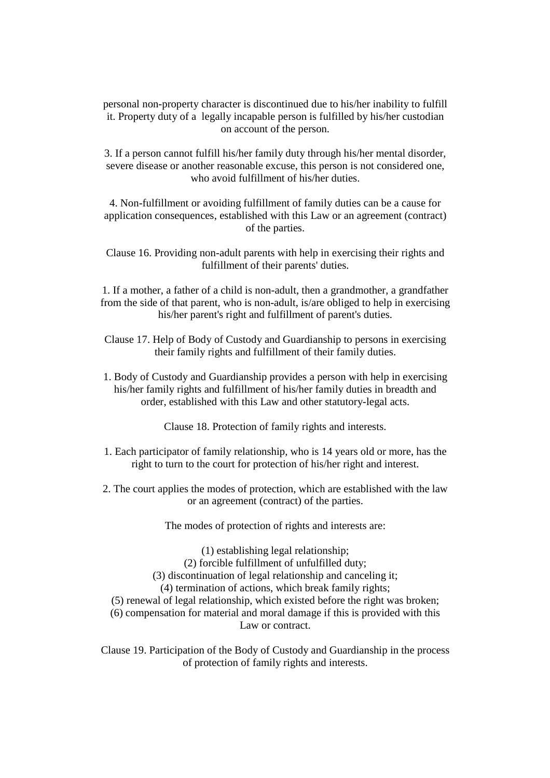personal non-property character is discontinued due to his/her inability to fulfill it. Property duty of a legally incapable person is fulfilled by his/her custodian on account of the person.

3. If a person cannot fulfill his/her family duty through his/her mental disorder, severe disease or another reasonable excuse, this person is not considered one, who avoid fulfillment of his/her duties.

4. Non-fulfillment or avoiding fulfillment of family duties can be a cause for application consequences, established with this Law or an agreement (contract) of the parties.

Clause 16. Providing non-adult parents with help in exercising their rights and fulfillment of their parents' duties.

1. If a mother, a father of a child is non-adult, then a grandmother, a grandfather from the side of that parent, who is non-adult, is/are obliged to help in exercising his/her parent's right and fulfillment of parent's duties.

Clause 17. Help of Body of Custody and Guardianship to persons in exercising their family rights and fulfillment of their family duties.

1. Body of Custody and Guardianship provides a person with help in exercising his/her family rights and fulfillment of his/her family duties in breadth and order, established with this Law and other statutory-legal acts.

Clause 18. Protection of family rights and interests.

- 1. Each participator of family relationship, who is 14 years old or more, has the right to turn to the court for protection of his/her right and interest.
- 2. The court applies the modes of protection, which are established with the law or an agreement (contract) of the parties.

The modes of protection of rights and interests are:

(1) establishing legal relationship; (2) forcible fulfillment of unfulfilled duty; (3) discontinuation of legal relationship and canceling it; (4) termination of actions, which break family rights; (5) renewal of legal relationship, which existed before the right was broken; (6) compensation for material and moral damage if this is provided with this Law or contract.

Clause 19. Participation of the Body of Custody and Guardianship in the process of protection of family rights and interests.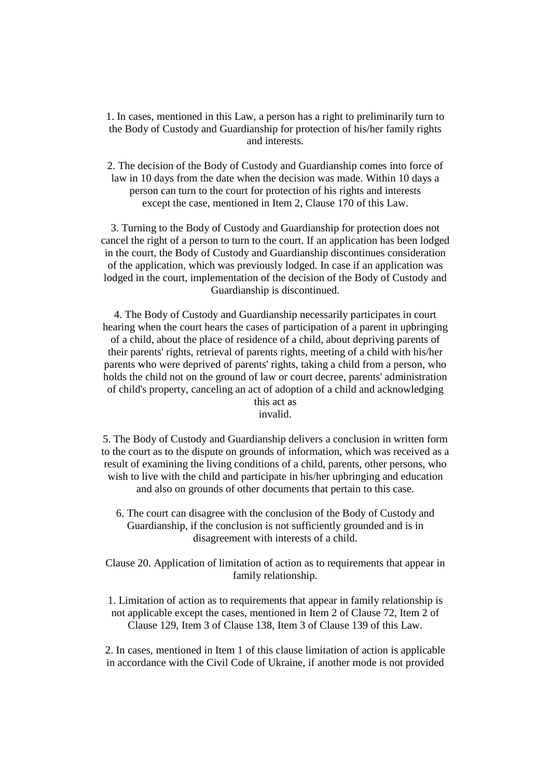1. In cases, mentioned in this Law, a person has a right to preliminarily turn to the Body of Custody and Guardianship for protection of his/her family rights and interests.

2. The decision of the Body of Custody and Guardianship comes into force of law in 10 days from the date when the decision was made. Within 10 days a person can turn to the court for protection of his rights and interests except the case, mentioned in Item 2, Clause 170 of this Law.

3. Turning to the Body of Custody and Guardianship for protection does not cancel the right of a person to turn to the court. If an application has been lodged in the court, the Body of Custody and Guardianship discontinues consideration of the application, which was previously lodged. In case if an application was lodged in the court, implementation of the decision of the Body of Custody and Guardianship is discontinued.

4. The Body of Custody and Guardianship necessarily participates in court hearing when the court hears the cases of participation of a parent in upbringing of a child, about the place of residence of a child, about depriving parents of their parents' rights, retrieval of parents rights, meeting of a child with his/her parents who were deprived of parents' rights, taking a child from a person, who holds the child not on the ground of law or court decree, parents' administration of child's property, canceling an act of adoption of a child and acknowledging this act as

#### invalid.

5. The Body of Custody and Guardianship delivers a conclusion in written form to the court as to the dispute on grounds of information, which was received as a result of examining the living conditions of a child, parents, other persons, who wish to live with the child and participate in his/her upbringing and education and also on grounds of other documents that pertain to this case.

6. The court can disagree with the conclusion of the Body of Custody and Guardianship, if the conclusion is not sufficiently grounded and is in disagreement with interests of a child.

Clause 20. Application of limitation of action as to requirements that appear in family relationship.

1. Limitation of action as to requirements that appear in family relationship is not applicable except the cases, mentioned in Item 2 of Clause 72, Item 2 of Clause 129, Item 3 of Clause 138, Item 3 of Clause 139 of this Law.

2. In cases, mentioned in Item 1 of this clause limitation of action is applicable in accordance with the Civil Code of Ukraine, if another mode is not provided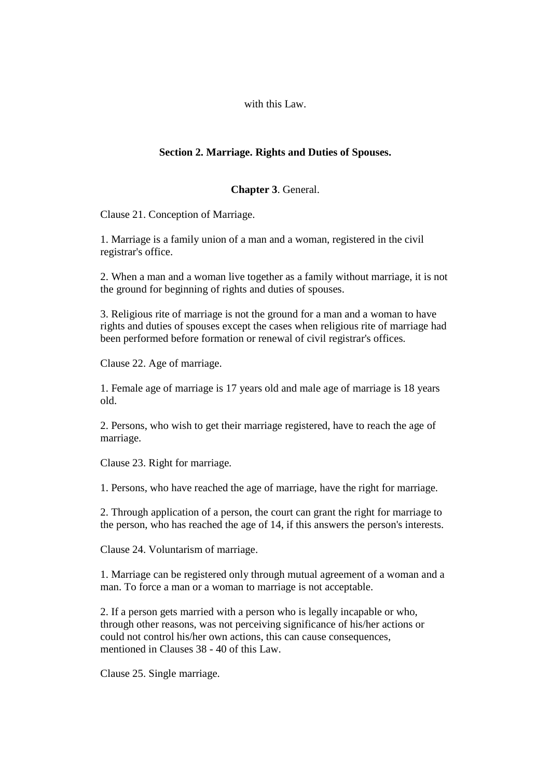with this Law.

## **Section 2. Marriage. Rights and Duties of Spouses.**

**Chapter 3**. General.

Clause 21. Conception of Marriage.

1. Marriage is a family union of a man and a woman, registered in the civil registrar's office.

2. When a man and a woman live together as a family without marriage, it is not the ground for beginning of rights and duties of spouses.

3. Religious rite of marriage is not the ground for a man and a woman to have rights and duties of spouses except the cases when religious rite of marriage had been performed before formation or renewal of civil registrar's offices.

Clause 22. Age of marriage.

1. Female age of marriage is 17 years old and male age of marriage is 18 years old.

2. Persons, who wish to get their marriage registered, have to reach the age of marriage.

Clause 23. Right for marriage.

1. Persons, who have reached the age of marriage, have the right for marriage.

2. Through application of a person, the court can grant the right for marriage to the person, who has reached the age of 14, if this answers the person's interests.

Clause 24. Voluntarism of marriage.

1. Marriage can be registered only through mutual agreement of a woman and a man. To force a man or a woman to marriage is not acceptable.

2. If a person gets married with a person who is legally incapable or who, through other reasons, was not perceiving significance of his/her actions or could not control his/her own actions, this can cause consequences, mentioned in Clauses 38 - 40 of this Law.

Clause 25. Single marriage.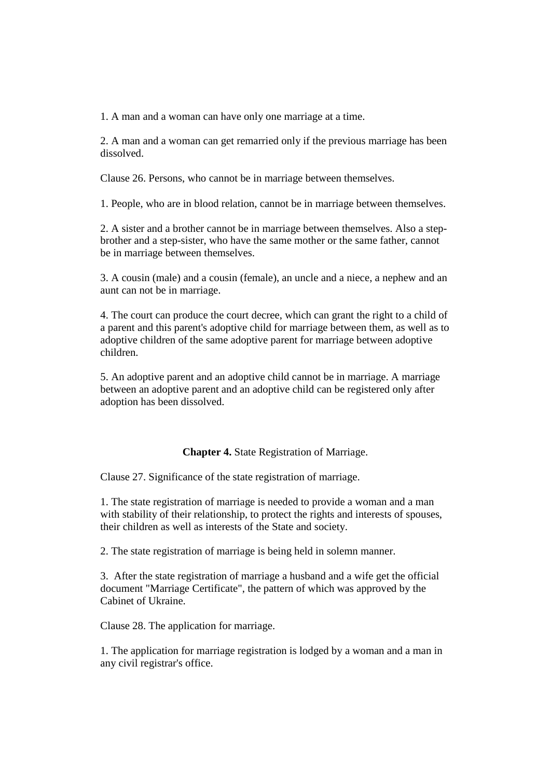1. A man and a woman can have only one marriage at a time.

2. A man and a woman can get remarried only if the previous marriage has been dissolved.

Clause 26. Persons, who cannot be in marriage between themselves.

1. People, who are in blood relation, cannot be in marriage between themselves.

2. A sister and a brother cannot be in marriage between themselves. Also a stepbrother and a step-sister, who have the same mother or the same father, cannot be in marriage between themselves.

3. A cousin (male) and a cousin (female), an uncle and a niece, a nephew and an aunt can not be in marriage.

4. The court can produce the court decree, which can grant the right to a child of a parent and this parent's adoptive child for marriage between them, as well as to adoptive children of the same adoptive parent for marriage between adoptive children.

5. An adoptive parent and an adoptive child cannot be in marriage. A marriage between an adoptive parent and an adoptive child can be registered only after adoption has been dissolved.

## **Chapter 4.** State Registration of Marriage.

Clause 27. Significance of the state registration of marriage.

1. The state registration of marriage is needed to provide a woman and a man with stability of their relationship, to protect the rights and interests of spouses, their children as well as interests of the State and society.

2. The state registration of marriage is being held in solemn manner.

3. After the state registration of marriage a husband and a wife get the official document "Marriage Certificate", the pattern of which was approved by the Cabinet of Ukraine.

Clause 28. The application for marriage.

1. The application for marriage registration is lodged by a woman and a man in any civil registrar's office.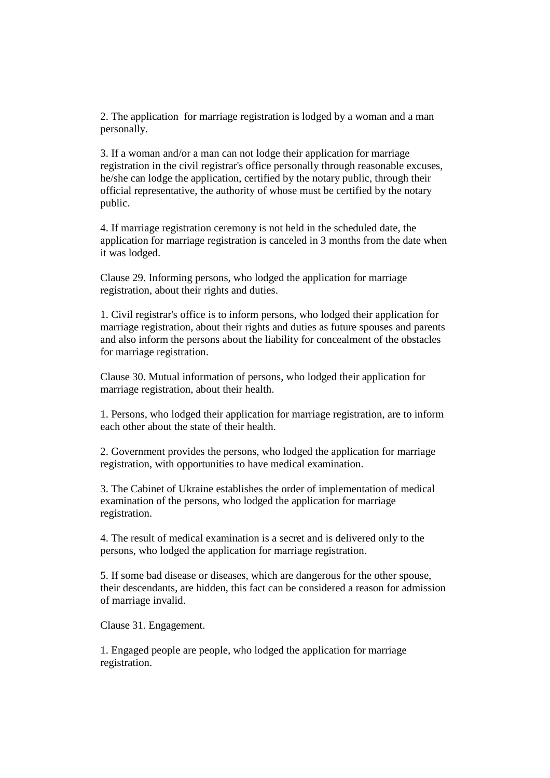2. The application for marriage registration is lodged by a woman and a man personally.

3. If a woman and/or a man can not lodge their application for marriage registration in the civil registrar's office personally through reasonable excuses, he/she can lodge the application, certified by the notary public, through their official representative, the authority of whose must be certified by the notary public.

4. If marriage registration ceremony is not held in the scheduled date, the application for marriage registration is canceled in 3 months from the date when it was lodged.

Clause 29. Informing persons, who lodged the application for marriage registration, about their rights and duties.

1. Civil registrar's office is to inform persons, who lodged their application for marriage registration, about their rights and duties as future spouses and parents and also inform the persons about the liability for concealment of the obstacles for marriage registration.

Clause 30. Mutual information of persons, who lodged their application for marriage registration, about their health.

1. Persons, who lodged their application for marriage registration, are to inform each other about the state of their health.

2. Government provides the persons, who lodged the application for marriage registration, with opportunities to have medical examination.

3. The Cabinet of Ukraine establishes the order of implementation of medical examination of the persons, who lodged the application for marriage registration.

4. The result of medical examination is a secret and is delivered only to the persons, who lodged the application for marriage registration.

5. If some bad disease or diseases, which are dangerous for the other spouse, their descendants, are hidden, this fact can be considered a reason for admission of marriage invalid.

Clause 31. Engagement.

1. Engaged people are people, who lodged the application for marriage registration.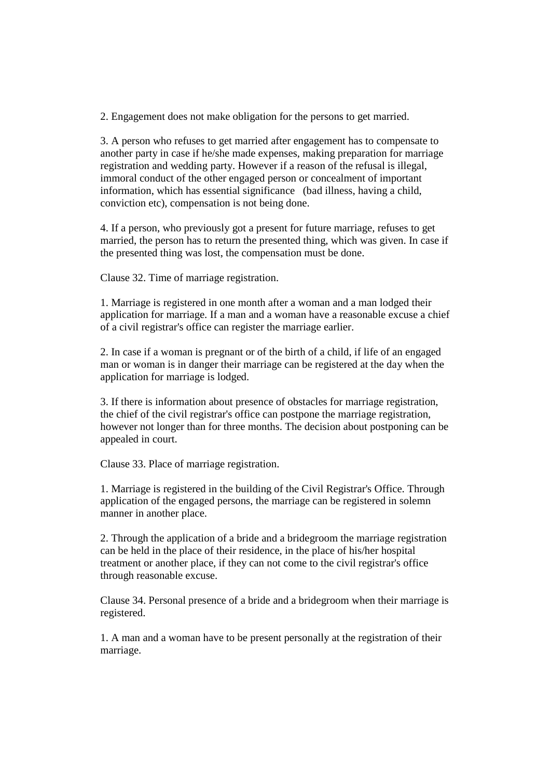2. Engagement does not make obligation for the persons to get married.

3. A person who refuses to get married after engagement has to compensate to another party in case if he/she made expenses, making preparation for marriage registration and wedding party. However if a reason of the refusal is illegal, immoral conduct of the other engaged person or concealment of important information, which has essential significance (bad illness, having a child, conviction etc), compensation is not being done.

4. If a person, who previously got a present for future marriage, refuses to get married, the person has to return the presented thing, which was given. In case if the presented thing was lost, the compensation must be done.

Clause 32. Time of marriage registration.

1. Marriage is registered in one month after a woman and a man lodged their application for marriage. If a man and a woman have a reasonable excuse a chief of a civil registrar's office can register the marriage earlier.

2. In case if a woman is pregnant or of the birth of a child, if life of an engaged man or woman is in danger their marriage can be registered at the day when the application for marriage is lodged.

3. If there is information about presence of obstacles for marriage registration, the chief of the civil registrar's office can postpone the marriage registration, however not longer than for three months. The decision about postponing can be appealed in court.

Clause 33. Place of marriage registration.

1. Marriage is registered in the building of the Civil Registrar's Office. Through application of the engaged persons, the marriage can be registered in solemn manner in another place.

2. Through the application of a bride and a bridegroom the marriage registration can be held in the place of their residence, in the place of his/her hospital treatment or another place, if they can not come to the civil registrar's office through reasonable excuse.

Clause 34. Personal presence of a bride and a bridegroom when their marriage is registered.

1. A man and a woman have to be present personally at the registration of their marriage.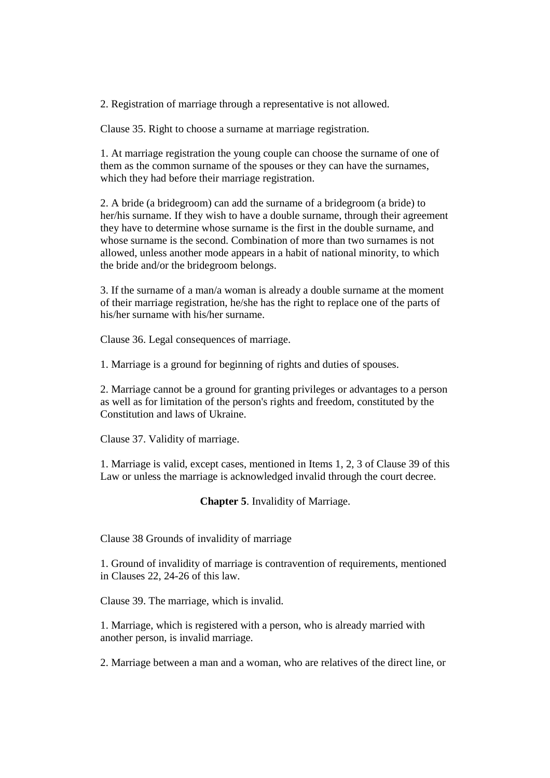2. Registration of marriage through a representative is not allowed.

Clause 35. Right to choose a surname at marriage registration.

1. At marriage registration the young couple can choose the surname of one of them as the common surname of the spouses or they can have the surnames, which they had before their marriage registration.

2. A bride (a bridegroom) can add the surname of a bridegroom (a bride) to her/his surname. If they wish to have a double surname, through their agreement they have to determine whose surname is the first in the double surname, and whose surname is the second. Combination of more than two surnames is not allowed, unless another mode appears in a habit of national minority, to which the bride and/or the bridegroom belongs.

3. If the surname of a man/a woman is already a double surname at the moment of their marriage registration, he/she has the right to replace one of the parts of his/her surname with his/her surname.

Clause 36. Legal consequences of marriage.

1. Marriage is a ground for beginning of rights and duties of spouses.

2. Marriage cannot be a ground for granting privileges or advantages to a person as well as for limitation of the person's rights and freedom, constituted by the Constitution and laws of Ukraine.

Clause 37. Validity of marriage.

1. Marriage is valid, except cases, mentioned in Items 1, 2, 3 of Clause 39 of this Law or unless the marriage is acknowledged invalid through the court decree.

**Chapter 5**. Invalidity of Marriage.

Clause 38 Grounds of invalidity of marriage

1. Ground of invalidity of marriage is contravention of requirements, mentioned in Clauses 22, 24-26 of this law.

Clause 39. The marriage, which is invalid.

1. Marriage, which is registered with a person, who is already married with another person, is invalid marriage.

2. Marriage between a man and a woman, who are relatives of the direct line, or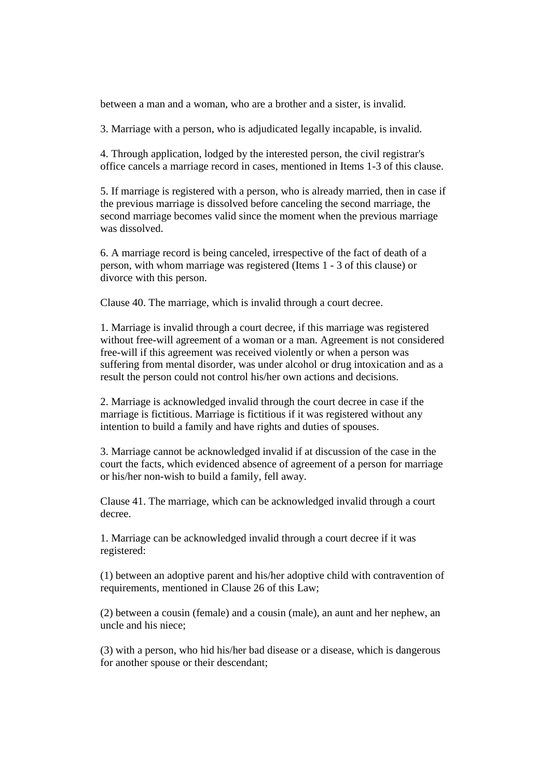between a man and a woman, who are a brother and a sister, is invalid.

3. Marriage with a person, who is adjudicated legally incapable, is invalid.

4. Through application, lodged by the interested person, the civil registrar's office cancels a marriage record in cases, mentioned in Items 1-3 of this clause.

5. If marriage is registered with a person, who is already married, then in case if the previous marriage is dissolved before canceling the second marriage, the second marriage becomes valid since the moment when the previous marriage was dissolved.

6. A marriage record is being canceled, irrespective of the fact of death of a person, with whom marriage was registered (Items 1 - 3 of this clause) or divorce with this person.

Clause 40. The marriage, which is invalid through a court decree.

1. Marriage is invalid through a court decree, if this marriage was registered without free-will agreement of a woman or a man. Agreement is not considered free-will if this agreement was received violently or when a person was suffering from mental disorder, was under alcohol or drug intoxication and as a result the person could not control his/her own actions and decisions.

2. Marriage is acknowledged invalid through the court decree in case if the marriage is fictitious. Marriage is fictitious if it was registered without any intention to build a family and have rights and duties of spouses.

3. Marriage cannot be acknowledged invalid if at discussion of the case in the court the facts, which evidenced absence of agreement of a person for marriage or his/her non-wish to build a family, fell away.

Clause 41. The marriage, which can be acknowledged invalid through a court decree.

1. Marriage can be acknowledged invalid through a court decree if it was registered:

(1) between an adoptive parent and his/her adoptive child with contravention of requirements, mentioned in Clause 26 of this Law;

(2) between a cousin (female) and a cousin (male), an aunt and her nephew, an uncle and his niece;

(3) with a person, who hid his/her bad disease or a disease, which is dangerous for another spouse or their descendant;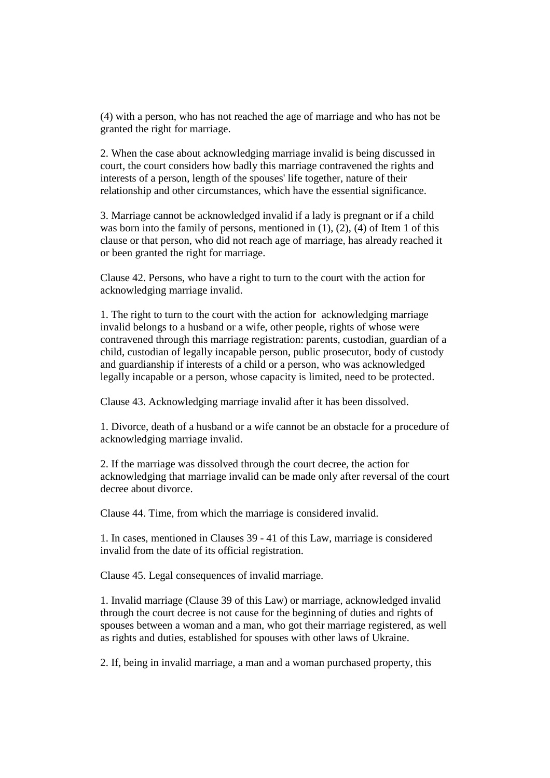(4) with a person, who has not reached the age of marriage and who has not be granted the right for marriage.

2. When the case about acknowledging marriage invalid is being discussed in court, the court considers how badly this marriage contravened the rights and interests of a person, length of the spouses' life together, nature of their relationship and other circumstances, which have the essential significance.

3. Marriage cannot be acknowledged invalid if a lady is pregnant or if a child was born into the family of persons, mentioned in  $(1)$ ,  $(2)$ ,  $(4)$  of Item 1 of this clause or that person, who did not reach age of marriage, has already reached it or been granted the right for marriage.

Clause 42. Persons, who have a right to turn to the court with the action for acknowledging marriage invalid.

1. The right to turn to the court with the action for acknowledging marriage invalid belongs to a husband or a wife, other people, rights of whose were contravened through this marriage registration: parents, custodian, guardian of a child, custodian of legally incapable person, public prosecutor, body of custody and guardianship if interests of a child or a person, who was acknowledged legally incapable or a person, whose capacity is limited, need to be protected.

Clause 43. Acknowledging marriage invalid after it has been dissolved.

1. Divorce, death of a husband or a wife cannot be an obstacle for a procedure of acknowledging marriage invalid.

2. If the marriage was dissolved through the court decree, the action for acknowledging that marriage invalid can be made only after reversal of the court decree about divorce.

Clause 44. Time, from which the marriage is considered invalid.

1. In cases, mentioned in Clauses 39 - 41 of this Law, marriage is considered invalid from the date of its official registration.

Clause 45. Legal consequences of invalid marriage.

1. Invalid marriage (Clause 39 of this Law) or marriage, acknowledged invalid through the court decree is not cause for the beginning of duties and rights of spouses between a woman and a man, who got their marriage registered, as well as rights and duties, established for spouses with other laws of Ukraine.

2. If, being in invalid marriage, a man and a woman purchased property, this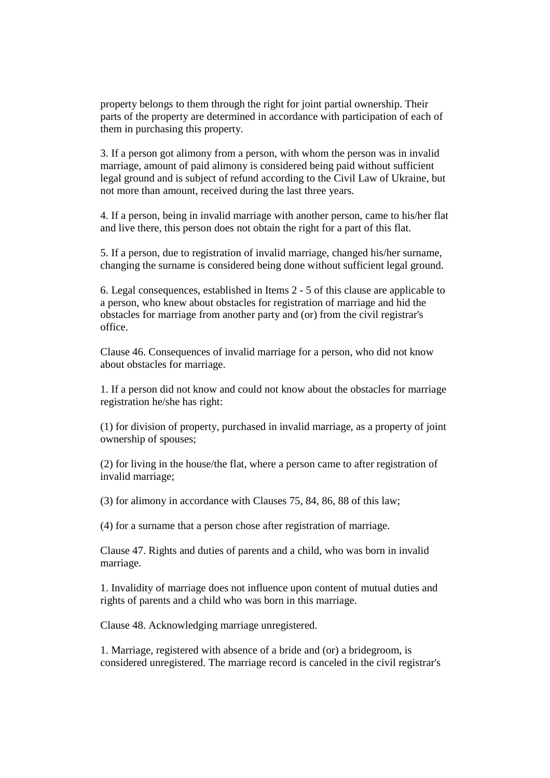property belongs to them through the right for joint partial ownership. Their parts of the property are determined in accordance with participation of each of them in purchasing this property.

3. If a person got alimony from a person, with whom the person was in invalid marriage, amount of paid alimony is considered being paid without sufficient legal ground and is subject of refund according to the Civil Law of Ukraine, but not more than amount, received during the last three years.

4. If a person, being in invalid marriage with another person, came to his/her flat and live there, this person does not obtain the right for a part of this flat.

5. If a person, due to registration of invalid marriage, changed his/her surname, changing the surname is considered being done without sufficient legal ground.

6. Legal consequences, established in Items 2 - 5 of this clause are applicable to a person, who knew about obstacles for registration of marriage and hid the obstacles for marriage from another party and (or) from the civil registrar's office.

Clause 46. Consequences of invalid marriage for a person, who did not know about obstacles for marriage.

1. If a person did not know and could not know about the obstacles for marriage registration he/she has right:

(1) for division of property, purchased in invalid marriage, as a property of joint ownership of spouses;

(2) for living in the house/the flat, where a person came to after registration of invalid marriage;

(3) for alimony in accordance with Clauses 75, 84, 86, 88 of this law;

(4) for a surname that a person chose after registration of marriage.

Clause 47. Rights and duties of parents and a child, who was born in invalid marriage.

1. Invalidity of marriage does not influence upon content of mutual duties and rights of parents and a child who was born in this marriage.

Clause 48. Acknowledging marriage unregistered.

1. Marriage, registered with absence of a bride and (or) a bridegroom, is considered unregistered. The marriage record is canceled in the civil registrar's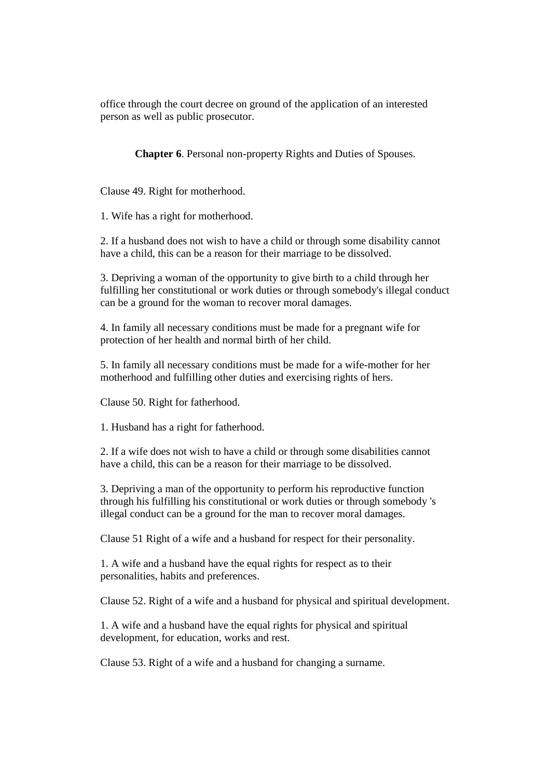office through the court decree on ground of the application of an interested person as well as public prosecutor.

**Chapter 6**. Personal non-property Rights and Duties of Spouses.

Clause 49. Right for motherhood.

1. Wife has a right for motherhood.

2. If a husband does not wish to have a child or through some disability cannot have a child, this can be a reason for their marriage to be dissolved.

3. Depriving a woman of the opportunity to give birth to a child through her fulfilling her constitutional or work duties or through somebody's illegal conduct can be a ground for the woman to recover moral damages.

4. In family all necessary conditions must be made for a pregnant wife for protection of her health and normal birth of her child.

5. In family all necessary conditions must be made for a wife-mother for her motherhood and fulfilling other duties and exercising rights of hers.

Clause 50. Right for fatherhood.

1. Husband has a right for fatherhood.

2. If a wife does not wish to have a child or through some disabilities cannot have a child, this can be a reason for their marriage to be dissolved.

3. Depriving a man of the opportunity to perform his reproductive function through his fulfilling his constitutional or work duties or through somebody 's illegal conduct can be a ground for the man to recover moral damages.

Clause 51 Right of a wife and a husband for respect for their personality.

1. A wife and a husband have the equal rights for respect as to their personalities, habits and preferences.

Clause 52. Right of a wife and a husband for physical and spiritual development.

1. A wife and a husband have the equal rights for physical and spiritual development, for education, works and rest.

Clause 53. Right of a wife and a husband for changing a surname.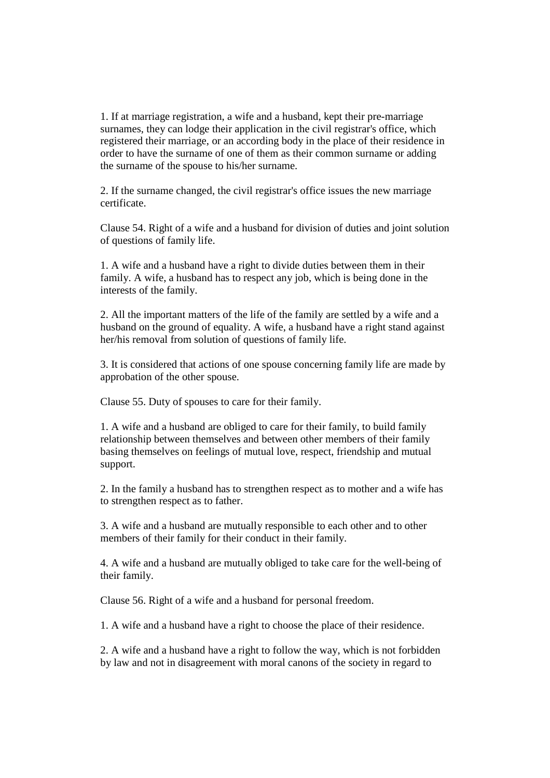1. If at marriage registration, a wife and a husband, kept their pre-marriage surnames, they can lodge their application in the civil registrar's office, which registered their marriage, or an according body in the place of their residence in order to have the surname of one of them as their common surname or adding the surname of the spouse to his/her surname.

2. If the surname changed, the civil registrar's office issues the new marriage certificate.

Clause 54. Right of a wife and a husband for division of duties and joint solution of questions of family life.

1. A wife and a husband have a right to divide duties between them in their family. A wife, a husband has to respect any job, which is being done in the interests of the family.

2. All the important matters of the life of the family are settled by a wife and a husband on the ground of equality. A wife, a husband have a right stand against her/his removal from solution of questions of family life.

3. It is considered that actions of one spouse concerning family life are made by approbation of the other spouse.

Clause 55. Duty of spouses to care for their family.

1. A wife and a husband are obliged to care for their family, to build family relationship between themselves and between other members of their family basing themselves on feelings of mutual love, respect, friendship and mutual support.

2. In the family a husband has to strengthen respect as to mother and a wife has to strengthen respect as to father.

3. A wife and a husband are mutually responsible to each other and to other members of their family for their conduct in their family.

4. A wife and a husband are mutually obliged to take care for the well-being of their family.

Clause 56. Right of a wife and a husband for personal freedom.

1. A wife and a husband have a right to choose the place of their residence.

2. A wife and a husband have a right to follow the way, which is not forbidden by law and not in disagreement with moral canons of the society in regard to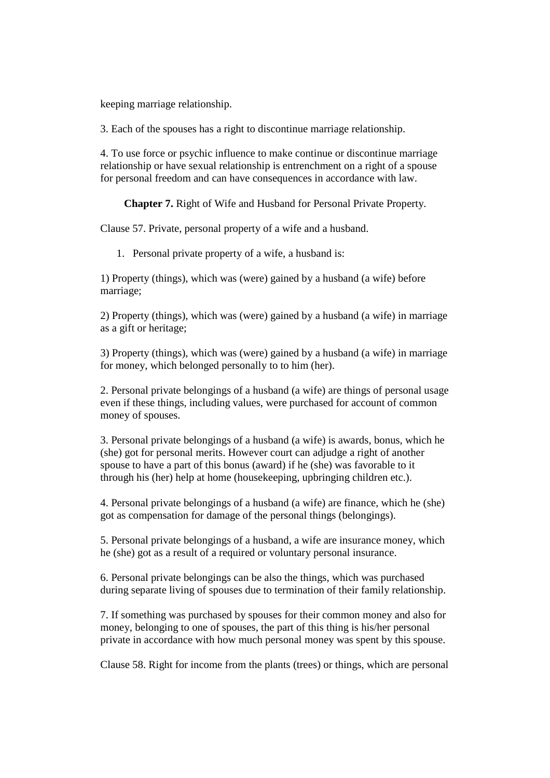keeping marriage relationship.

3. Each of the spouses has a right to discontinue marriage relationship.

4. To use force or psychic influence to make continue or discontinue marriage relationship or have sexual relationship is entrenchment on a right of a spouse for personal freedom and can have consequences in accordance with law.

**Chapter 7.** Right of Wife and Husband for Personal Private Property.

Clause 57. Private, personal property of a wife and a husband.

1. Personal private property of a wife, a husband is:

1) Property (things), which was (were) gained by a husband (a wife) before marriage;

2) Property (things), which was (were) gained by a husband (a wife) in marriage as a gift or heritage;

3) Property (things), which was (were) gained by a husband (a wife) in marriage for money, which belonged personally to to him (her).

2. Personal private belongings of a husband (a wife) are things of personal usage even if these things, including values, were purchased for account of common money of spouses.

3. Personal private belongings of a husband (a wife) is awards, bonus, which he (she) got for personal merits. However court can adjudge a right of another spouse to have a part of this bonus (award) if he (she) was favorable to it through his (her) help at home (housekeeping, upbringing children etc.).

4. Personal private belongings of a husband (a wife) are finance, which he (she) got as compensation for damage of the personal things (belongings).

5. Personal private belongings of a husband, a wife are insurance money, which he (she) got as a result of a required or voluntary personal insurance.

6. Personal private belongings can be also the things, which was purchased during separate living of spouses due to termination of their family relationship.

7. If something was purchased by spouses for their common money and also for money, belonging to one of spouses, the part of this thing is his/her personal private in accordance with how much personal money was spent by this spouse.

Clause 58. Right for income from the plants (trees) or things, which are personal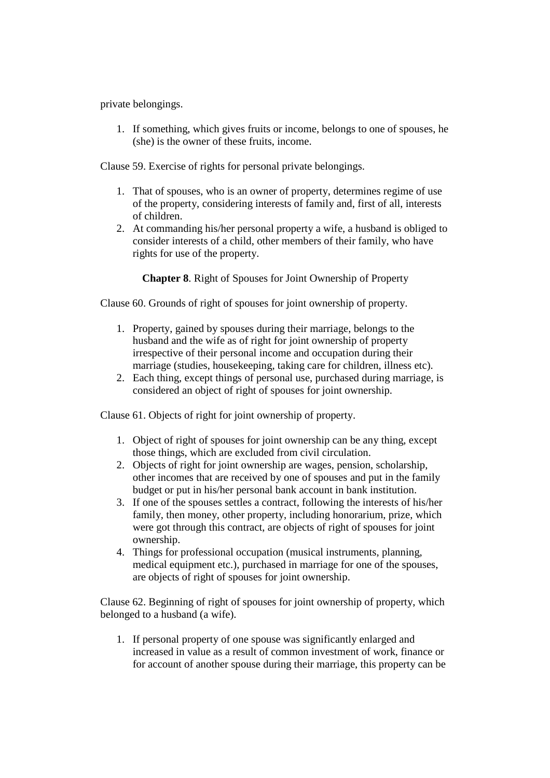private belongings.

1. If something, which gives fruits or income, belongs to one of spouses, he (she) is the owner of these fruits, income.

Clause 59. Exercise of rights for personal private belongings.

- 1. That of spouses, who is an owner of property, determines regime of use of the property, considering interests of family and, first of all, interests of children.
- 2. At commanding his/her personal property a wife, a husband is obliged to consider interests of a child, other members of their family, who have rights for use of the property.

**Chapter 8**. Right of Spouses for Joint Ownership of Property

Clause 60. Grounds of right of spouses for joint ownership of property.

- 1. Property, gained by spouses during their marriage, belongs to the husband and the wife as of right for joint ownership of property irrespective of their personal income and occupation during their marriage (studies, housekeeping, taking care for children, illness etc).
- 2. Each thing, except things of personal use, purchased during marriage, is considered an object of right of spouses for joint ownership.

Clause 61. Objects of right for joint ownership of property.

- 1. Object of right of spouses for joint ownership can be any thing, except those things, which are excluded from civil circulation.
- 2. Objects of right for joint ownership are wages, pension, scholarship, other incomes that are received by one of spouses and put in the family budget or put in his/her personal bank account in bank institution.
- 3. If one of the spouses settles a contract, following the interests of his/her family, then money, other property, including honorarium, prize, which were got through this contract, are objects of right of spouses for joint ownership.
- 4. Things for professional occupation (musical instruments, planning, medical equipment etc.), purchased in marriage for one of the spouses, are objects of right of spouses for joint ownership.

Clause 62. Beginning of right of spouses for joint ownership of property, which belonged to a husband (a wife).

1. If personal property of one spouse was significantly enlarged and increased in value as a result of common investment of work, finance or for account of another spouse during their marriage, this property can be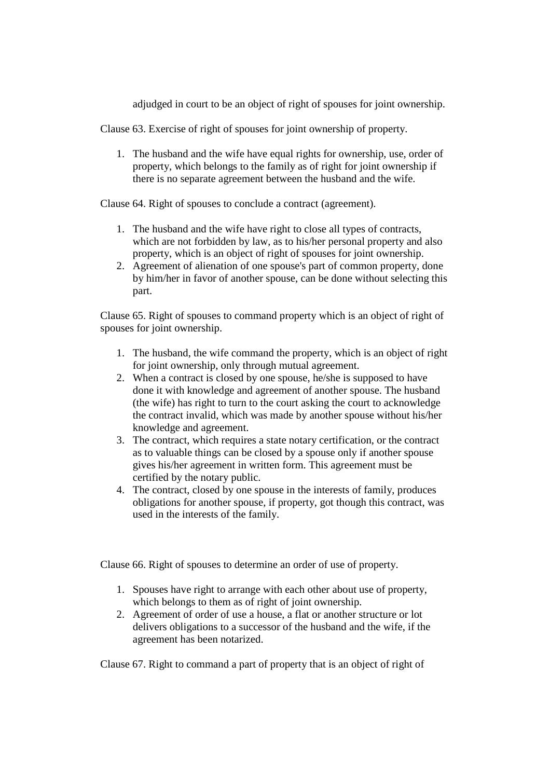adjudged in court to be an object of right of spouses for joint ownership.

Clause 63. Exercise of right of spouses for joint ownership of property.

1. The husband and the wife have equal rights for ownership, use, order of property, which belongs to the family as of right for joint ownership if there is no separate agreement between the husband and the wife.

Clause 64. Right of spouses to conclude a contract (agreement).

- 1. The husband and the wife have right to close all types of contracts, which are not forbidden by law, as to his/her personal property and also property, which is an object of right of spouses for joint ownership.
- 2. Agreement of alienation of one spouse's part of common property, done by him/her in favor of another spouse, can be done without selecting this part.

Clause 65. Right of spouses to command property which is an object of right of spouses for joint ownership.

- 1. The husband, the wife command the property, which is an object of right for joint ownership, only through mutual agreement.
- 2. When a contract is closed by one spouse, he/she is supposed to have done it with knowledge and agreement of another spouse. The husband (the wife) has right to turn to the court asking the court to acknowledge the contract invalid, which was made by another spouse without his/her knowledge and agreement.
- 3. The contract, which requires a state notary certification, or the contract as to valuable things can be closed by a spouse only if another spouse gives his/her agreement in written form. This agreement must be certified by the notary public.
- 4. The contract, closed by one spouse in the interests of family, produces obligations for another spouse, if property, got though this contract, was used in the interests of the family.

Clause 66. Right of spouses to determine an order of use of property.

- 1. Spouses have right to arrange with each other about use of property, which belongs to them as of right of joint ownership.
- 2. Agreement of order of use a house, a flat or another structure or lot delivers obligations to a successor of the husband and the wife, if the agreement has been notarized.

Clause 67. Right to command a part of property that is an object of right of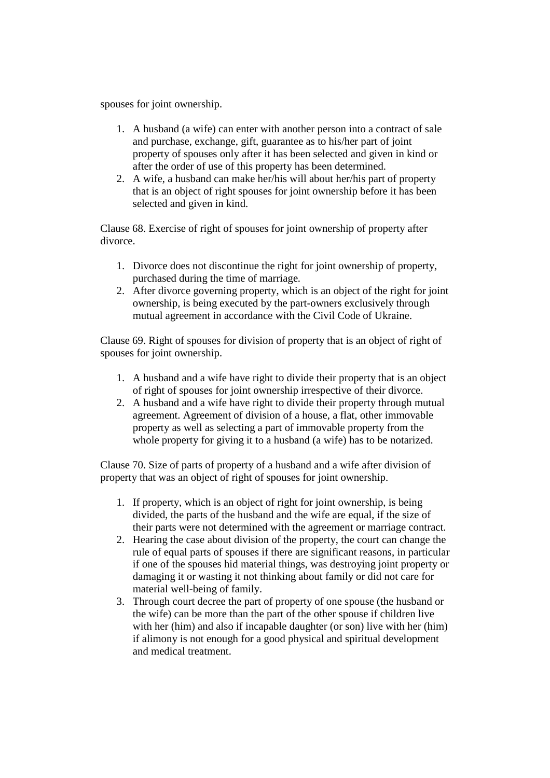spouses for joint ownership.

- 1. A husband (a wife) can enter with another person into a contract of sale and purchase, exchange, gift, guarantee as to his/her part of joint property of spouses only after it has been selected and given in kind or after the order of use of this property has been determined.
- 2. A wife, a husband can make her/his will about her/his part of property that is an object of right spouses for joint ownership before it has been selected and given in kind.

Clause 68. Exercise of right of spouses for joint ownership of property after divorce.

- 1. Divorce does not discontinue the right for joint ownership of property, purchased during the time of marriage.
- 2. After divorce governing property, which is an object of the right for joint ownership, is being executed by the part-owners exclusively through mutual agreement in accordance with the Civil Code of Ukraine.

Clause 69. Right of spouses for division of property that is an object of right of spouses for joint ownership.

- 1. A husband and a wife have right to divide their property that is an object of right of spouses for joint ownership irrespective of their divorce.
- 2. A husband and a wife have right to divide their property through mutual agreement. Agreement of division of a house, a flat, other immovable property as well as selecting a part of immovable property from the whole property for giving it to a husband (a wife) has to be notarized.

Clause 70. Size of parts of property of a husband and a wife after division of property that was an object of right of spouses for joint ownership.

- 1. If property, which is an object of right for joint ownership, is being divided, the parts of the husband and the wife are equal, if the size of their parts were not determined with the agreement or marriage contract.
- 2. Hearing the case about division of the property, the court can change the rule of equal parts of spouses if there are significant reasons, in particular if one of the spouses hid material things, was destroying joint property or damaging it or wasting it not thinking about family or did not care for material well-being of family.
- 3. Through court decree the part of property of one spouse (the husband or the wife) can be more than the part of the other spouse if children live with her (him) and also if incapable daughter (or son) live with her (him) if alimony is not enough for a good physical and spiritual development and medical treatment.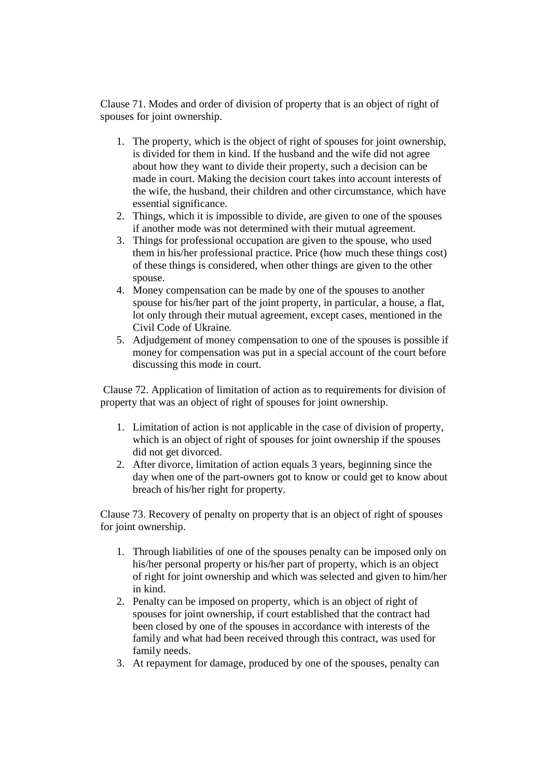Clause 71. Modes and order of division of property that is an object of right of spouses for joint ownership.

- 1. The property, which is the object of right of spouses for joint ownership, is divided for them in kind. If the husband and the wife did not agree about how they want to divide their property, such a decision can be made in court. Making the decision court takes into account interests of the wife, the husband, their children and other circumstance, which have essential significance.
- 2. Things, which it is impossible to divide, are given to one of the spouses if another mode was not determined with their mutual agreement.
- 3. Things for professional occupation are given to the spouse, who used them in his/her professional practice. Price (how much these things cost) of these things is considered, when other things are given to the other spouse.
- 4. Money compensation can be made by one of the spouses to another spouse for his/her part of the joint property, in particular, a house, a flat, lot only through their mutual agreement, except cases, mentioned in the Civil Code of Ukraine.
- 5. Adjudgement of money compensation to one of the spouses is possible if money for compensation was put in a special account of the court before discussing this mode in court.

 Clause 72. Application of limitation of action as to requirements for division of property that was an object of right of spouses for joint ownership.

- 1. Limitation of action is not applicable in the case of division of property, which is an object of right of spouses for joint ownership if the spouses did not get divorced.
- 2. After divorce, limitation of action equals 3 years, beginning since the day when one of the part-owners got to know or could get to know about breach of his/her right for property.

Clause 73. Recovery of penalty on property that is an object of right of spouses for joint ownership.

- 1. Through liabilities of one of the spouses penalty can be imposed only on his/her personal property or his/her part of property, which is an object of right for joint ownership and which was selected and given to him/her in kind.
- 2. Penalty can be imposed on property, which is an object of right of spouses for joint ownership, if court established that the contract had been closed by one of the spouses in accordance with interests of the family and what had been received through this contract, was used for family needs.
- 3. At repayment for damage, produced by one of the spouses, penalty can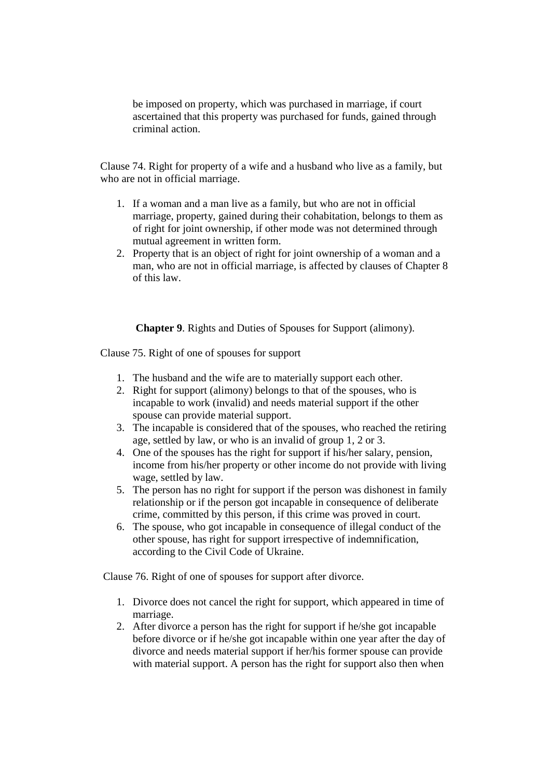be imposed on property, which was purchased in marriage, if court ascertained that this property was purchased for funds, gained through criminal action.

Clause 74. Right for property of a wife and a husband who live as a family, but who are not in official marriage.

- 1. If a woman and a man live as a family, but who are not in official marriage, property, gained during their cohabitation, belongs to them as of right for joint ownership, if other mode was not determined through mutual agreement in written form.
- 2. Property that is an object of right for joint ownership of a woman and a man, who are not in official marriage, is affected by clauses of Chapter 8 of this law.

**Chapter 9**. Rights and Duties of Spouses for Support (alimony).

Clause 75. Right of one of spouses for support

- 1. The husband and the wife are to materially support each other.
- 2. Right for support (alimony) belongs to that of the spouses, who is incapable to work (invalid) and needs material support if the other spouse can provide material support.
- 3. The incapable is considered that of the spouses, who reached the retiring age, settled by law, or who is an invalid of group 1, 2 or 3.
- 4. One of the spouses has the right for support if his/her salary, pension, income from his/her property or other income do not provide with living wage, settled by law.
- 5. The person has no right for support if the person was dishonest in family relationship or if the person got incapable in consequence of deliberate crime, committed by this person, if this crime was proved in court.
- 6. The spouse, who got incapable in consequence of illegal conduct of the other spouse, has right for support irrespective of indemnification, according to the Civil Code of Ukraine.

Clause 76. Right of one of spouses for support after divorce.

- 1. Divorce does not cancel the right for support, which appeared in time of marriage.
- 2. After divorce a person has the right for support if he/she got incapable before divorce or if he/she got incapable within one year after the day of divorce and needs material support if her/his former spouse can provide with material support. A person has the right for support also then when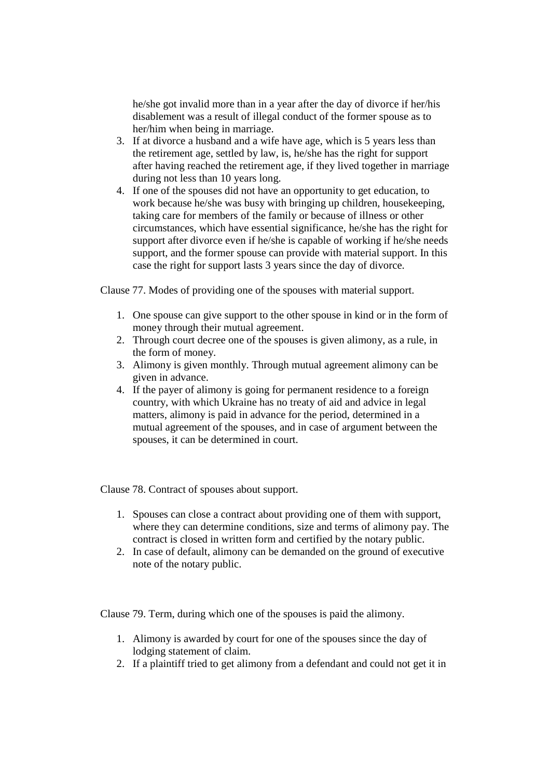he/she got invalid more than in a year after the day of divorce if her/his disablement was a result of illegal conduct of the former spouse as to her/him when being in marriage.

- 3. If at divorce a husband and a wife have age, which is 5 years less than the retirement age, settled by law, is, he/she has the right for support after having reached the retirement age, if they lived together in marriage during not less than 10 years long.
- 4. If one of the spouses did not have an opportunity to get education, to work because he/she was busy with bringing up children, housekeeping, taking care for members of the family or because of illness or other circumstances, which have essential significance, he/she has the right for support after divorce even if he/she is capable of working if he/she needs support, and the former spouse can provide with material support. In this case the right for support lasts 3 years since the day of divorce.

Clause 77. Modes of providing one of the spouses with material support.

- 1. One spouse can give support to the other spouse in kind or in the form of money through their mutual agreement.
- 2. Through court decree one of the spouses is given alimony, as a rule, in the form of money.
- 3. Alimony is given monthly. Through mutual agreement alimony can be given in advance.
- 4. If the payer of alimony is going for permanent residence to a foreign country, with which Ukraine has no treaty of aid and advice in legal matters, alimony is paid in advance for the period, determined in a mutual agreement of the spouses, and in case of argument between the spouses, it can be determined in court.

Clause 78. Contract of spouses about support.

- 1. Spouses can close a contract about providing one of them with support, where they can determine conditions, size and terms of alimony pay. The contract is closed in written form and certified by the notary public.
- 2. In case of default, alimony can be demanded on the ground of executive note of the notary public.

Clause 79. Term, during which one of the spouses is paid the alimony.

- 1. Alimony is awarded by court for one of the spouses since the day of lodging statement of claim.
- 2. If a plaintiff tried to get alimony from a defendant and could not get it in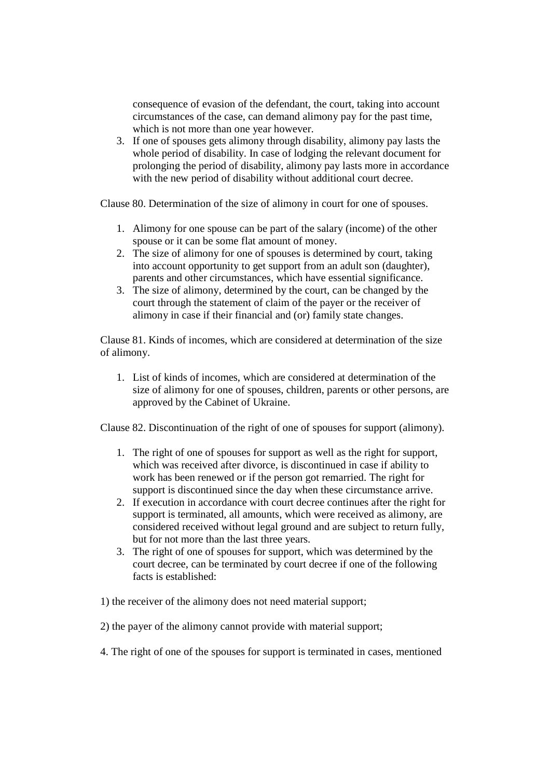consequence of evasion of the defendant, the court, taking into account circumstances of the case, can demand alimony pay for the past time, which is not more than one year however.

3. If one of spouses gets alimony through disability, alimony pay lasts the whole period of disability. In case of lodging the relevant document for prolonging the period of disability, alimony pay lasts more in accordance with the new period of disability without additional court decree.

Clause 80. Determination of the size of alimony in court for one of spouses.

- 1. Alimony for one spouse can be part of the salary (income) of the other spouse or it can be some flat amount of money.
- 2. The size of alimony for one of spouses is determined by court, taking into account opportunity to get support from an adult son (daughter), parents and other circumstances, which have essential significance.
- 3. The size of alimony, determined by the court, can be changed by the court through the statement of claim of the payer or the receiver of alimony in case if their financial and (or) family state changes.

Clause 81. Kinds of incomes, which are considered at determination of the size of alimony.

1. List of kinds of incomes, which are considered at determination of the size of alimony for one of spouses, children, parents or other persons, are approved by the Cabinet of Ukraine.

Clause 82. Discontinuation of the right of one of spouses for support (alimony).

- 1. The right of one of spouses for support as well as the right for support, which was received after divorce, is discontinued in case if ability to work has been renewed or if the person got remarried. The right for support is discontinued since the day when these circumstance arrive.
- 2. If execution in accordance with court decree continues after the right for support is terminated, all amounts, which were received as alimony, are considered received without legal ground and are subject to return fully, but for not more than the last three years.
- 3. The right of one of spouses for support, which was determined by the court decree, can be terminated by court decree if one of the following facts is established:
- 1) the receiver of the alimony does not need material support;
- 2) the payer of the alimony cannot provide with material support;
- 4. The right of one of the spouses for support is terminated in cases, mentioned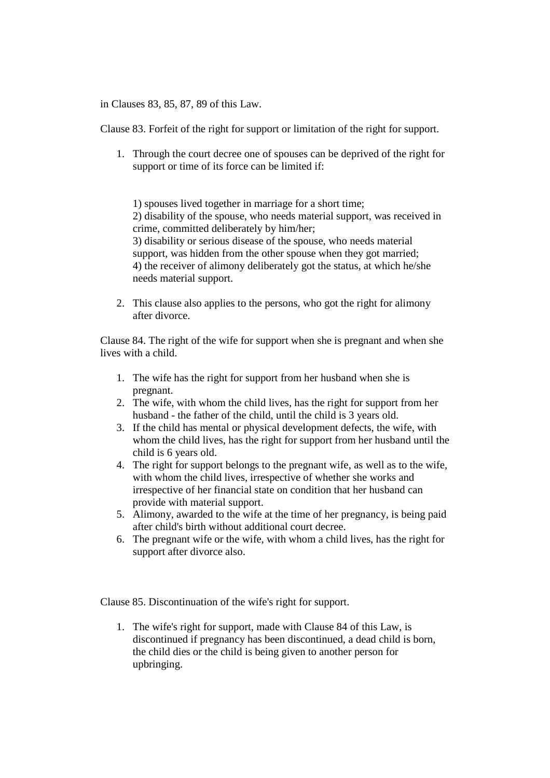in Clauses 83, 85, 87, 89 of this Law.

Clause 83. Forfeit of the right for support or limitation of the right for support.

1. Through the court decree one of spouses can be deprived of the right for support or time of its force can be limited if:

1) spouses lived together in marriage for a short time; 2) disability of the spouse, who needs material support, was received in crime, committed deliberately by him/her; 3) disability or serious disease of the spouse, who needs material support, was hidden from the other spouse when they got married; 4) the receiver of alimony deliberately got the status, at which he/she needs material support.

2. This clause also applies to the persons, who got the right for alimony after divorce.

Clause 84. The right of the wife for support when she is pregnant and when she lives with a child.

- 1. The wife has the right for support from her husband when she is pregnant.
- 2. The wife, with whom the child lives, has the right for support from her husband - the father of the child, until the child is 3 years old.
- 3. If the child has mental or physical development defects, the wife, with whom the child lives, has the right for support from her husband until the child is 6 years old.
- 4. The right for support belongs to the pregnant wife, as well as to the wife, with whom the child lives, irrespective of whether she works and irrespective of her financial state on condition that her husband can provide with material support.
- 5. Alimony, awarded to the wife at the time of her pregnancy, is being paid after child's birth without additional court decree.
- 6. The pregnant wife or the wife, with whom a child lives, has the right for support after divorce also.

Clause 85. Discontinuation of the wife's right for support.

1. The wife's right for support, made with Clause 84 of this Law, is discontinued if pregnancy has been discontinued, a dead child is born, the child dies or the child is being given to another person for upbringing.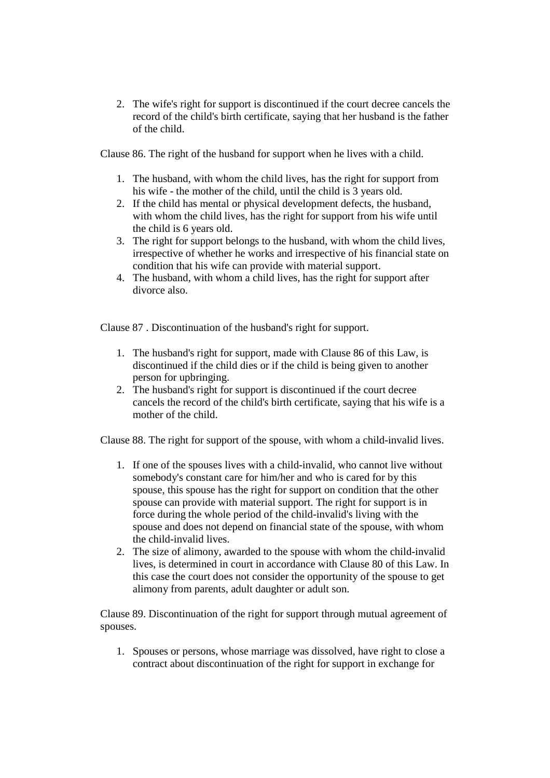2. The wife's right for support is discontinued if the court decree cancels the record of the child's birth certificate, saying that her husband is the father of the child.

Clause 86. The right of the husband for support when he lives with a child.

- 1. The husband, with whom the child lives, has the right for support from his wife - the mother of the child, until the child is 3 years old.
- 2. If the child has mental or physical development defects, the husband, with whom the child lives, has the right for support from his wife until the child is 6 years old.
- 3. The right for support belongs to the husband, with whom the child lives, irrespective of whether he works and irrespective of his financial state on condition that his wife can provide with material support.
- 4. The husband, with whom a child lives, has the right for support after divorce also.

Clause 87 . Discontinuation of the husband's right for support.

- 1. The husband's right for support, made with Clause 86 of this Law, is discontinued if the child dies or if the child is being given to another person for upbringing.
- 2. The husband's right for support is discontinued if the court decree cancels the record of the child's birth certificate, saying that his wife is a mother of the child.

Clause 88. The right for support of the spouse, with whom a child-invalid lives.

- 1. If one of the spouses lives with a child-invalid, who cannot live without somebody's constant care for him/her and who is cared for by this spouse, this spouse has the right for support on condition that the other spouse can provide with material support. The right for support is in force during the whole period of the child-invalid's living with the spouse and does not depend on financial state of the spouse, with whom the child-invalid lives.
- 2. The size of alimony, awarded to the spouse with whom the child-invalid lives, is determined in court in accordance with Clause 80 of this Law. In this case the court does not consider the opportunity of the spouse to get alimony from parents, adult daughter or adult son.

Clause 89. Discontinuation of the right for support through mutual agreement of spouses.

1. Spouses or persons, whose marriage was dissolved, have right to close a contract about discontinuation of the right for support in exchange for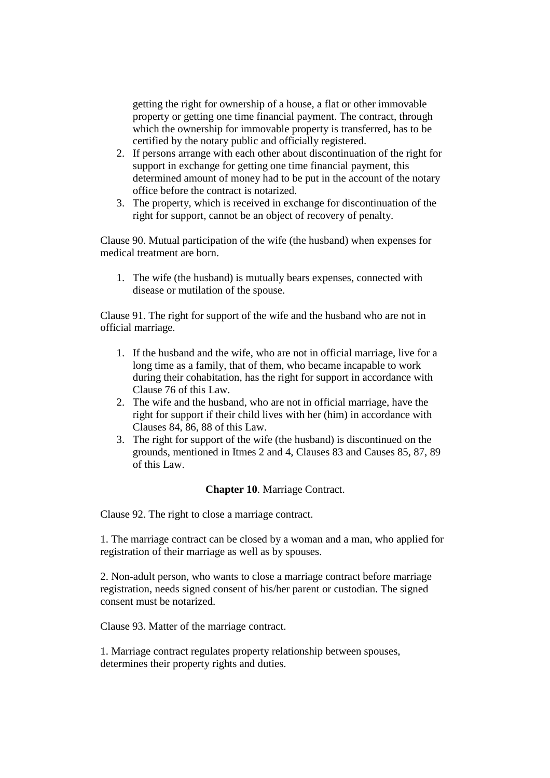getting the right for ownership of a house, a flat or other immovable property or getting one time financial payment. The contract, through which the ownership for immovable property is transferred, has to be certified by the notary public and officially registered.

- 2. If persons arrange with each other about discontinuation of the right for support in exchange for getting one time financial payment, this determined amount of money had to be put in the account of the notary office before the contract is notarized.
- 3. The property, which is received in exchange for discontinuation of the right for support, cannot be an object of recovery of penalty.

Clause 90. Mutual participation of the wife (the husband) when expenses for medical treatment are born.

1. The wife (the husband) is mutually bears expenses, connected with disease or mutilation of the spouse.

Clause 91. The right for support of the wife and the husband who are not in official marriage.

- 1. If the husband and the wife, who are not in official marriage, live for a long time as a family, that of them, who became incapable to work during their cohabitation, has the right for support in accordance with Clause 76 of this Law.
- 2. The wife and the husband, who are not in official marriage, have the right for support if their child lives with her (him) in accordance with Clauses 84, 86, 88 of this Law.
- 3. The right for support of the wife (the husband) is discontinued on the grounds, mentioned in Itmes 2 and 4, Clauses 83 and Causes 85, 87, 89 of this Law.

## **Chapter 10**. Marriage Contract.

Clause 92. The right to close a marriage contract.

1. The marriage contract can be closed by a woman and a man, who applied for registration of their marriage as well as by spouses.

2. Non-adult person, who wants to close a marriage contract before marriage registration, needs signed consent of his/her parent or custodian. The signed consent must be notarized.

Clause 93. Matter of the marriage contract.

1. Marriage contract regulates property relationship between spouses, determines their property rights and duties.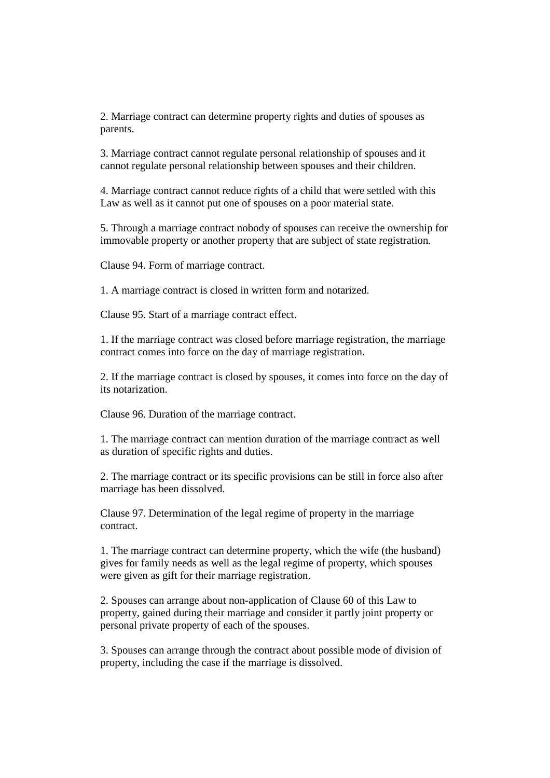2. Marriage contract can determine property rights and duties of spouses as parents.

3. Marriage contract cannot regulate personal relationship of spouses and it cannot regulate personal relationship between spouses and their children.

4. Marriage contract cannot reduce rights of a child that were settled with this Law as well as it cannot put one of spouses on a poor material state.

5. Through a marriage contract nobody of spouses can receive the ownership for immovable property or another property that are subject of state registration.

Clause 94. Form of marriage contract.

1. A marriage contract is closed in written form and notarized.

Clause 95. Start of a marriage contract effect.

1. If the marriage contract was closed before marriage registration, the marriage contract comes into force on the day of marriage registration.

2. If the marriage contract is closed by spouses, it comes into force on the day of its notarization.

Clause 96. Duration of the marriage contract.

1. The marriage contract can mention duration of the marriage contract as well as duration of specific rights and duties.

2. The marriage contract or its specific provisions can be still in force also after marriage has been dissolved.

Clause 97. Determination of the legal regime of property in the marriage contract.

1. The marriage contract can determine property, which the wife (the husband) gives for family needs as well as the legal regime of property, which spouses were given as gift for their marriage registration.

2. Spouses can arrange about non-application of Clause 60 of this Law to property, gained during their marriage and consider it partly joint property or personal private property of each of the spouses.

3. Spouses can arrange through the contract about possible mode of division of property, including the case if the marriage is dissolved.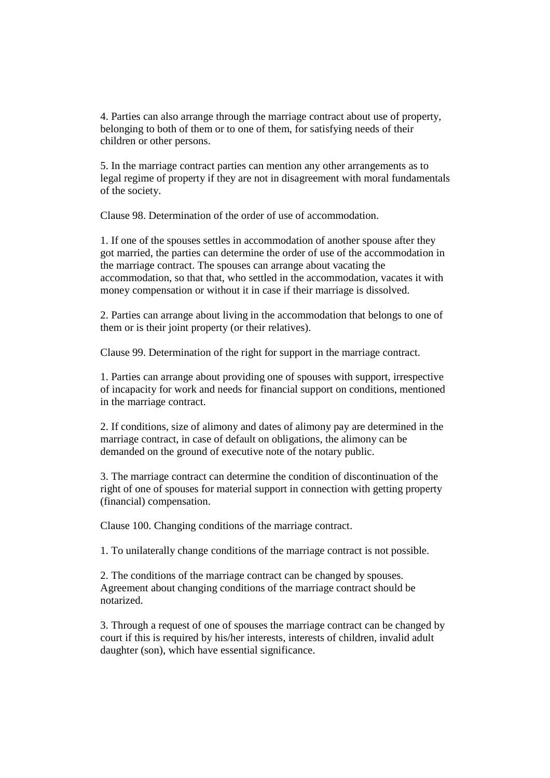4. Parties can also arrange through the marriage contract about use of property, belonging to both of them or to one of them, for satisfying needs of their children or other persons.

5. In the marriage contract parties can mention any other arrangements as to legal regime of property if they are not in disagreement with moral fundamentals of the society.

Clause 98. Determination of the order of use of accommodation.

1. If one of the spouses settles in accommodation of another spouse after they got married, the parties can determine the order of use of the accommodation in the marriage contract. The spouses can arrange about vacating the accommodation, so that that, who settled in the accommodation, vacates it with money compensation or without it in case if their marriage is dissolved.

2. Parties can arrange about living in the accommodation that belongs to one of them or is their joint property (or their relatives).

Clause 99. Determination of the right for support in the marriage contract.

1. Parties can arrange about providing one of spouses with support, irrespective of incapacity for work and needs for financial support on conditions, mentioned in the marriage contract.

2. If conditions, size of alimony and dates of alimony pay are determined in the marriage contract, in case of default on obligations, the alimony can be demanded on the ground of executive note of the notary public.

3. The marriage contract can determine the condition of discontinuation of the right of one of spouses for material support in connection with getting property (financial) compensation.

Clause 100. Changing conditions of the marriage contract.

1. To unilaterally change conditions of the marriage contract is not possible.

2. The conditions of the marriage contract can be changed by spouses. Agreement about changing conditions of the marriage contract should be notarized.

3. Through a request of one of spouses the marriage contract can be changed by court if this is required by his/her interests, interests of children, invalid adult daughter (son), which have essential significance.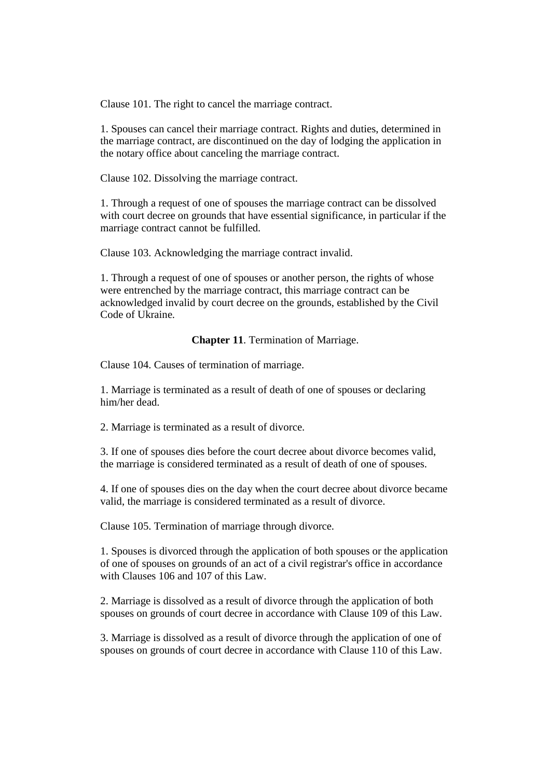Clause 101. The right to cancel the marriage contract.

1. Spouses can cancel their marriage contract. Rights and duties, determined in the marriage contract, are discontinued on the day of lodging the application in the notary office about canceling the marriage contract.

Clause 102. Dissolving the marriage contract.

1. Through a request of one of spouses the marriage contract can be dissolved with court decree on grounds that have essential significance, in particular if the marriage contract cannot be fulfilled.

Clause 103. Acknowledging the marriage contract invalid.

1. Through a request of one of spouses or another person, the rights of whose were entrenched by the marriage contract, this marriage contract can be acknowledged invalid by court decree on the grounds, established by the Civil Code of Ukraine.

#### **Chapter 11**. Termination of Marriage.

Clause 104. Causes of termination of marriage.

1. Marriage is terminated as a result of death of one of spouses or declaring him/her dead.

2. Marriage is terminated as a result of divorce.

3. If one of spouses dies before the court decree about divorce becomes valid, the marriage is considered terminated as a result of death of one of spouses.

4. If one of spouses dies on the day when the court decree about divorce became valid, the marriage is considered terminated as a result of divorce.

Clause 105. Termination of marriage through divorce.

1. Spouses is divorced through the application of both spouses or the application of one of spouses on grounds of an act of a civil registrar's office in accordance with Clauses 106 and 107 of this Law.

2. Marriage is dissolved as a result of divorce through the application of both spouses on grounds of court decree in accordance with Clause 109 of this Law.

3. Marriage is dissolved as a result of divorce through the application of one of spouses on grounds of court decree in accordance with Clause 110 of this Law.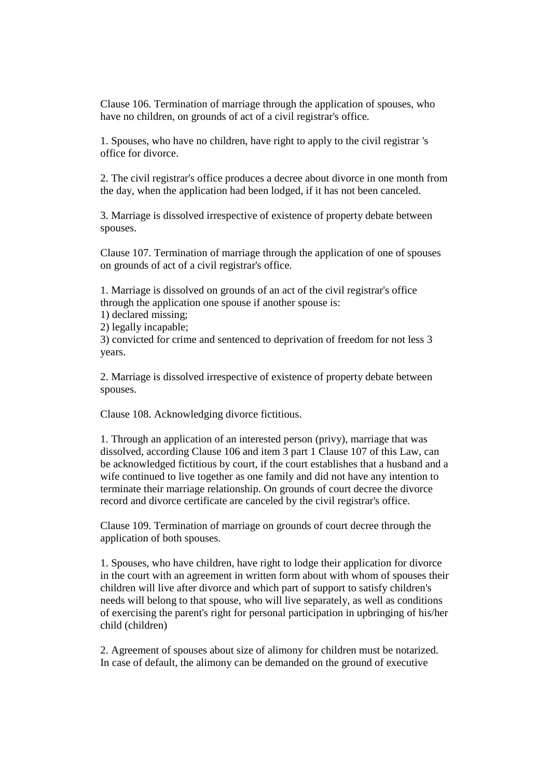Clause 106. Termination of marriage through the application of spouses, who have no children, on grounds of act of a civil registrar's office.

1. Spouses, who have no children, have right to apply to the civil registrar 's office for divorce.

2. The civil registrar's office produces a decree about divorce in one month from the day, when the application had been lodged, if it has not been canceled.

3. Marriage is dissolved irrespective of existence of property debate between spouses.

Clause 107. Termination of marriage through the application of one of spouses on grounds of act of a civil registrar's office.

1. Marriage is dissolved on grounds of an act of the civil registrar's office through the application one spouse if another spouse is:

1) declared missing;

2) legally incapable;

3) convicted for crime and sentenced to deprivation of freedom for not less 3 years.

2. Marriage is dissolved irrespective of existence of property debate between spouses.

Clause 108. Acknowledging divorce fictitious.

1. Through an application of an interested person (privy), marriage that was dissolved, according Clause 106 and item 3 part 1 Clause 107 of this Law, can be acknowledged fictitious by court, if the court establishes that a husband and a wife continued to live together as one family and did not have any intention to terminate their marriage relationship. On grounds of court decree the divorce record and divorce certificate are canceled by the civil registrar's office.

Clause 109. Termination of marriage on grounds of court decree through the application of both spouses.

1. Spouses, who have children, have right to lodge their application for divorce in the court with an agreement in written form about with whom of spouses their children will live after divorce and which part of support to satisfy children's needs will belong to that spouse, who will live separately, as well as conditions of exercising the parent's right for personal participation in upbringing of his/her child (children)

2. Agreement of spouses about size of alimony for children must be notarized. In case of default, the alimony can be demanded on the ground of executive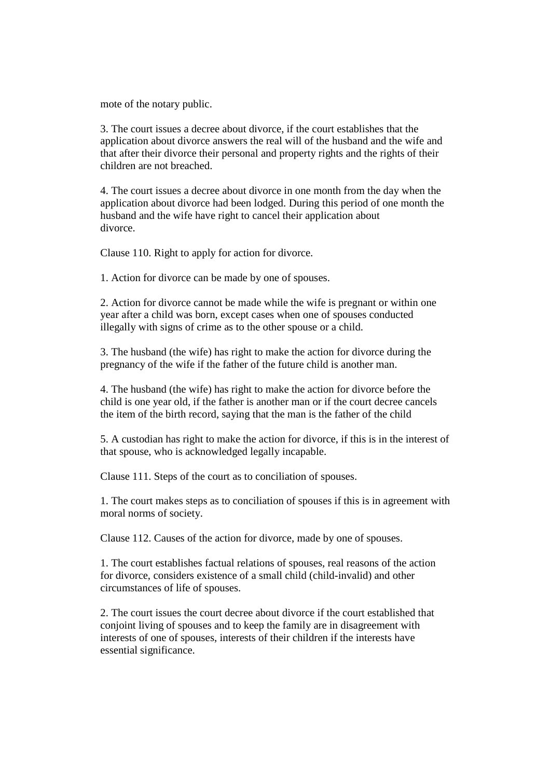mote of the notary public.

3. The court issues a decree about divorce, if the court establishes that the application about divorce answers the real will of the husband and the wife and that after their divorce their personal and property rights and the rights of their children are not breached.

4. The court issues a decree about divorce in one month from the day when the application about divorce had been lodged. During this period of one month the husband and the wife have right to cancel their application about divorce.

Clause 110. Right to apply for action for divorce.

1. Action for divorce can be made by one of spouses.

2. Action for divorce cannot be made while the wife is pregnant or within one year after a child was born, except cases when one of spouses conducted illegally with signs of crime as to the other spouse or a child.

3. The husband (the wife) has right to make the action for divorce during the pregnancy of the wife if the father of the future child is another man.

4. The husband (the wife) has right to make the action for divorce before the child is one year old, if the father is another man or if the court decree cancels the item of the birth record, saying that the man is the father of the child

5. A custodian has right to make the action for divorce, if this is in the interest of that spouse, who is acknowledged legally incapable.

Clause 111. Steps of the court as to conciliation of spouses.

1. The court makes steps as to conciliation of spouses if this is in agreement with moral norms of society.

Clause 112. Causes of the action for divorce, made by one of spouses.

1. The court establishes factual relations of spouses, real reasons of the action for divorce, considers existence of a small child (child-invalid) and other circumstances of life of spouses.

2. The court issues the court decree about divorce if the court established that conjoint living of spouses and to keep the family are in disagreement with interests of one of spouses, interests of their children if the interests have essential significance.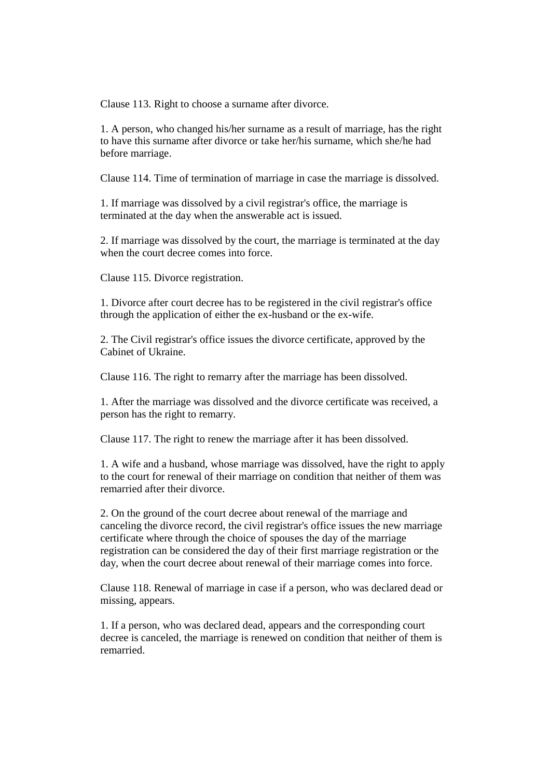Clause 113. Right to choose a surname after divorce.

1. A person, who changed his/her surname as a result of marriage, has the right to have this surname after divorce or take her/his surname, which she/he had before marriage.

Clause 114. Time of termination of marriage in case the marriage is dissolved.

1. If marriage was dissolved by a civil registrar's office, the marriage is terminated at the day when the answerable act is issued.

2. If marriage was dissolved by the court, the marriage is terminated at the day when the court decree comes into force.

Clause 115. Divorce registration.

1. Divorce after court decree has to be registered in the civil registrar's office through the application of either the ex-husband or the ex-wife.

2. The Civil registrar's office issues the divorce certificate, approved by the Cabinet of Ukraine.

Clause 116. The right to remarry after the marriage has been dissolved.

1. After the marriage was dissolved and the divorce certificate was received, a person has the right to remarry.

Clause 117. The right to renew the marriage after it has been dissolved.

1. A wife and a husband, whose marriage was dissolved, have the right to apply to the court for renewal of their marriage on condition that neither of them was remarried after their divorce.

2. On the ground of the court decree about renewal of the marriage and canceling the divorce record, the civil registrar's office issues the new marriage certificate where through the choice of spouses the day of the marriage registration can be considered the day of their first marriage registration or the day, when the court decree about renewal of their marriage comes into force.

Clause 118. Renewal of marriage in case if a person, who was declared dead or missing, appears.

1. If a person, who was declared dead, appears and the corresponding court decree is canceled, the marriage is renewed on condition that neither of them is remarried.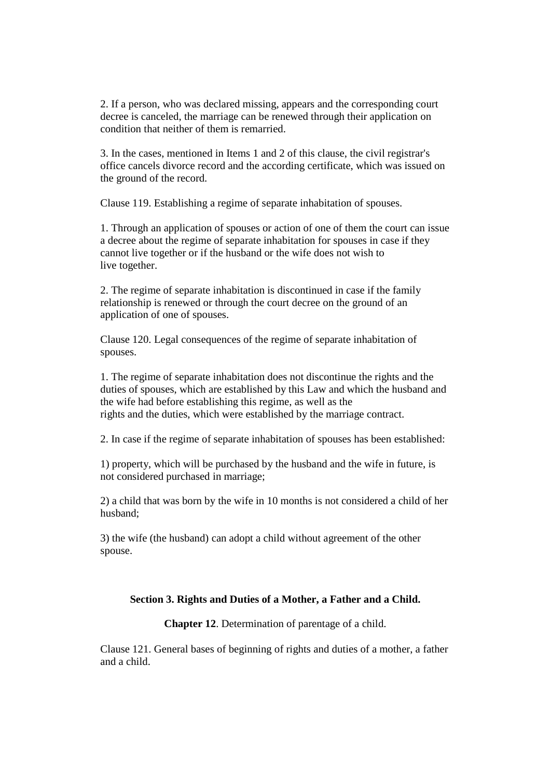2. If a person, who was declared missing, appears and the corresponding court decree is canceled, the marriage can be renewed through their application on condition that neither of them is remarried.

3. In the cases, mentioned in Items 1 and 2 of this clause, the civil registrar's office cancels divorce record and the according certificate, which was issued on the ground of the record.

Clause 119. Establishing a regime of separate inhabitation of spouses.

1. Through an application of spouses or action of one of them the court can issue a decree about the regime of separate inhabitation for spouses in case if they cannot live together or if the husband or the wife does not wish to live together.

2. The regime of separate inhabitation is discontinued in case if the family relationship is renewed or through the court decree on the ground of an application of one of spouses.

Clause 120. Legal consequences of the regime of separate inhabitation of spouses.

1. The regime of separate inhabitation does not discontinue the rights and the duties of spouses, which are established by this Law and which the husband and the wife had before establishing this regime, as well as the rights and the duties, which were established by the marriage contract.

2. In case if the regime of separate inhabitation of spouses has been established:

1) property, which will be purchased by the husband and the wife in future, is not considered purchased in marriage;

2) a child that was born by the wife in 10 months is not considered a child of her husband;

3) the wife (the husband) can adopt a child without agreement of the other spouse.

## **Section 3. Rights and Duties of a Mother, a Father and a Child.**

**Chapter 12**. Determination of parentage of a child.

Clause 121. General bases of beginning of rights and duties of a mother, a father and a child.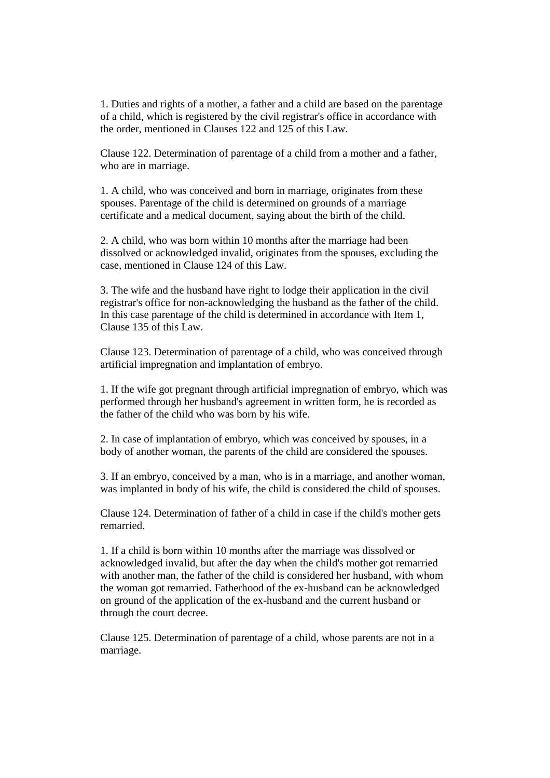1. Duties and rights of a mother, a father and a child are based on the parentage of a child, which is registered by the civil registrar's office in accordance with the order, mentioned in Clauses 122 and 125 of this Law.

Clause 122. Determination of parentage of a child from a mother and a father, who are in marriage.

1. A child, who was conceived and born in marriage, originates from these spouses. Parentage of the child is determined on grounds of a marriage certificate and a medical document, saying about the birth of the child.

2. A child, who was born within 10 months after the marriage had been dissolved or acknowledged invalid, originates from the spouses, excluding the case, mentioned in Clause 124 of this Law.

3. The wife and the husband have right to lodge their application in the civil registrar's office for non-acknowledging the husband as the father of the child. In this case parentage of the child is determined in accordance with Item 1, Clause 135 of this Law.

Clause 123. Determination of parentage of a child, who was conceived through artificial impregnation and implantation of embryo.

1. If the wife got pregnant through artificial impregnation of embryo, which was performed through her husband's agreement in written form, he is recorded as the father of the child who was born by his wife.

2. In case of implantation of embryo, which was conceived by spouses, in a body of another woman, the parents of the child are considered the spouses.

3. If an embryo, conceived by a man, who is in a marriage, and another woman, was implanted in body of his wife, the child is considered the child of spouses.

Clause 124. Determination of father of a child in case if the child's mother gets remarried.

1. If a child is born within 10 months after the marriage was dissolved or acknowledged invalid, but after the day when the child's mother got remarried with another man, the father of the child is considered her husband, with whom the woman got remarried. Fatherhood of the ex-husband can be acknowledged on ground of the application of the ex-husband and the current husband or through the court decree.

Clause 125. Determination of parentage of a child, whose parents are not in a marriage.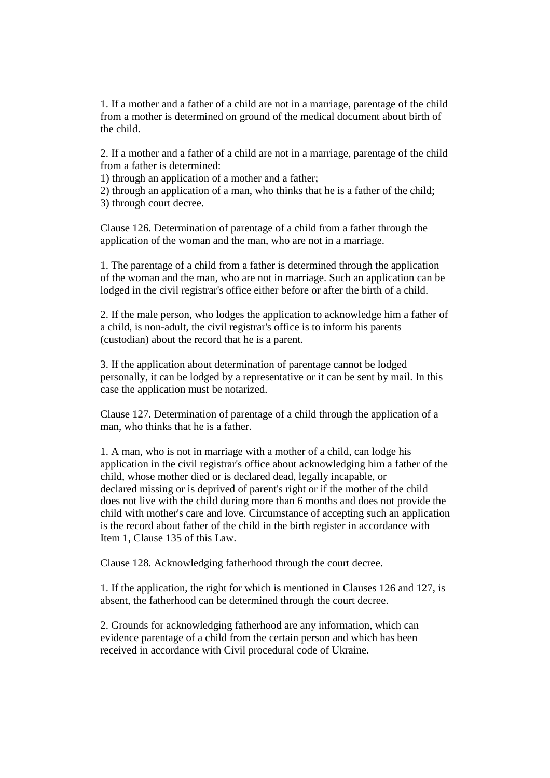1. If a mother and a father of a child are not in a marriage, parentage of the child from a mother is determined on ground of the medical document about birth of the child.

2. If a mother and a father of a child are not in a marriage, parentage of the child from a father is determined:

1) through an application of a mother and a father;

2) through an application of a man, who thinks that he is a father of the child;

3) through court decree.

Clause 126. Determination of parentage of a child from a father through the application of the woman and the man, who are not in a marriage.

1. The parentage of a child from a father is determined through the application of the woman and the man, who are not in marriage. Such an application can be lodged in the civil registrar's office either before or after the birth of a child.

2. If the male person, who lodges the application to acknowledge him a father of a child, is non-adult, the civil registrar's office is to inform his parents (custodian) about the record that he is a parent.

3. If the application about determination of parentage cannot be lodged personally, it can be lodged by a representative or it can be sent by mail. In this case the application must be notarized.

Clause 127. Determination of parentage of a child through the application of a man, who thinks that he is a father.

1. A man, who is not in marriage with a mother of a child, can lodge his application in the civil registrar's office about acknowledging him a father of the child, whose mother died or is declared dead, legally incapable, or declared missing or is deprived of parent's right or if the mother of the child does not live with the child during more than 6 months and does not provide the child with mother's care and love. Circumstance of accepting such an application is the record about father of the child in the birth register in accordance with Item 1, Clause 135 of this Law.

Clause 128. Acknowledging fatherhood through the court decree.

1. If the application, the right for which is mentioned in Clauses 126 and 127, is absent, the fatherhood can be determined through the court decree.

2. Grounds for acknowledging fatherhood are any information, which can evidence parentage of a child from the certain person and which has been received in accordance with Civil procedural code of Ukraine.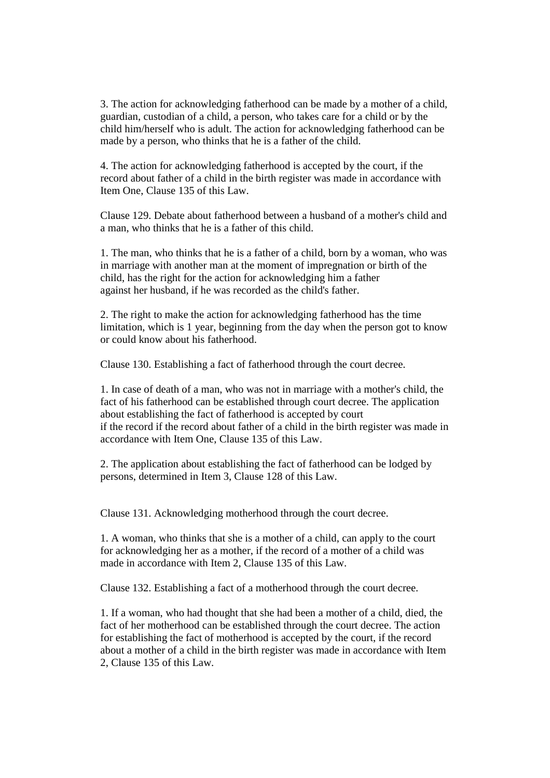3. The action for acknowledging fatherhood can be made by a mother of a child, guardian, custodian of a child, a person, who takes care for a child or by the child him/herself who is adult. The action for acknowledging fatherhood can be made by a person, who thinks that he is a father of the child.

4. The action for acknowledging fatherhood is accepted by the court, if the record about father of a child in the birth register was made in accordance with Item One, Clause 135 of this Law.

Clause 129. Debate about fatherhood between a husband of a mother's child and a man, who thinks that he is a father of this child.

1. The man, who thinks that he is a father of a child, born by a woman, who was in marriage with another man at the moment of impregnation or birth of the child, has the right for the action for acknowledging him a father against her husband, if he was recorded as the child's father.

2. The right to make the action for acknowledging fatherhood has the time limitation, which is 1 year, beginning from the day when the person got to know or could know about his fatherhood.

Clause 130. Establishing a fact of fatherhood through the court decree.

1. In case of death of a man, who was not in marriage with a mother's child, the fact of his fatherhood can be established through court decree. The application about establishing the fact of fatherhood is accepted by court if the record if the record about father of a child in the birth register was made in accordance with Item One, Clause 135 of this Law.

2. The application about establishing the fact of fatherhood can be lodged by persons, determined in Item 3, Clause 128 of this Law.

Clause 131. Acknowledging motherhood through the court decree.

1. A woman, who thinks that she is a mother of a child, can apply to the court for acknowledging her as a mother, if the record of a mother of a child was made in accordance with Item 2, Clause 135 of this Law.

Clause 132. Establishing a fact of a motherhood through the court decree.

1. If a woman, who had thought that she had been a mother of a child, died, the fact of her motherhood can be established through the court decree. The action for establishing the fact of motherhood is accepted by the court, if the record about a mother of a child in the birth register was made in accordance with Item 2, Clause 135 of this Law.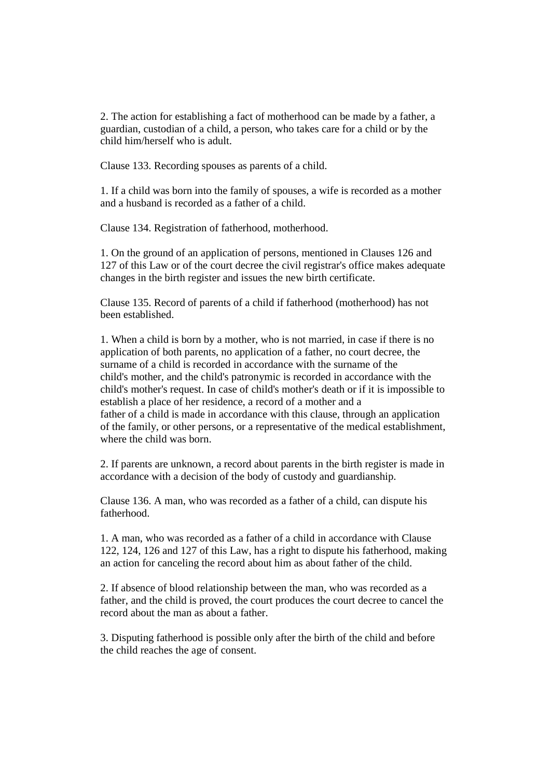2. The action for establishing a fact of motherhood can be made by a father, a guardian, custodian of a child, a person, who takes care for a child or by the child him/herself who is adult.

Clause 133. Recording spouses as parents of a child.

1. If a child was born into the family of spouses, a wife is recorded as a mother and a husband is recorded as a father of a child.

Clause 134. Registration of fatherhood, motherhood.

1. On the ground of an application of persons, mentioned in Clauses 126 and 127 of this Law or of the court decree the civil registrar's office makes adequate changes in the birth register and issues the new birth certificate.

Clause 135. Record of parents of a child if fatherhood (motherhood) has not been established.

1. When a child is born by a mother, who is not married, in case if there is no application of both parents, no application of a father, no court decree, the surname of a child is recorded in accordance with the surname of the child's mother, and the child's patronymic is recorded in accordance with the child's mother's request. In case of child's mother's death or if it is impossible to establish a place of her residence, a record of a mother and a father of a child is made in accordance with this clause, through an application of the family, or other persons, or a representative of the medical establishment, where the child was born.

2. If parents are unknown, a record about parents in the birth register is made in accordance with a decision of the body of custody and guardianship.

Clause 136. A man, who was recorded as a father of a child, can dispute his fatherhood.

1. A man, who was recorded as a father of a child in accordance with Clause 122, 124, 126 and 127 of this Law, has a right to dispute his fatherhood, making an action for canceling the record about him as about father of the child.

2. If absence of blood relationship between the man, who was recorded as a father, and the child is proved, the court produces the court decree to cancel the record about the man as about a father.

3. Disputing fatherhood is possible only after the birth of the child and before the child reaches the age of consent.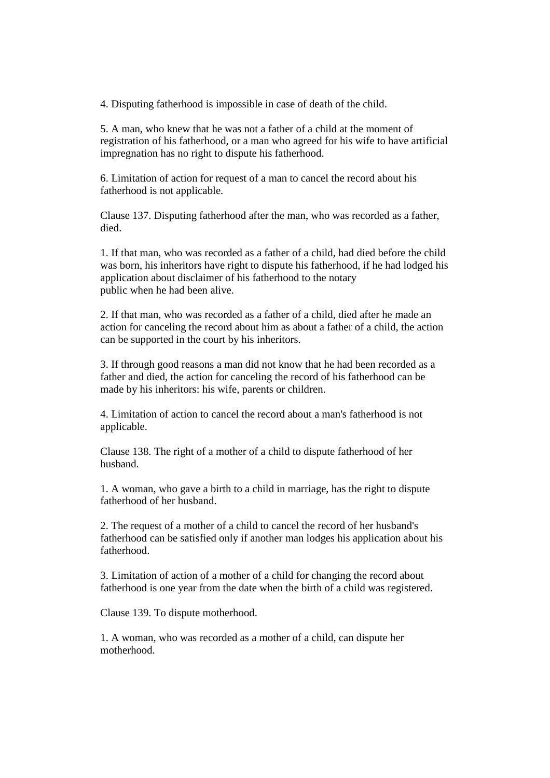4. Disputing fatherhood is impossible in case of death of the child.

5. A man, who knew that he was not a father of a child at the moment of registration of his fatherhood, or a man who agreed for his wife to have artificial impregnation has no right to dispute his fatherhood.

6. Limitation of action for request of a man to cancel the record about his fatherhood is not applicable.

Clause 137. Disputing fatherhood after the man, who was recorded as a father, died.

1. If that man, who was recorded as a father of a child, had died before the child was born, his inheritors have right to dispute his fatherhood, if he had lodged his application about disclaimer of his fatherhood to the notary public when he had been alive.

2. If that man, who was recorded as a father of a child, died after he made an action for canceling the record about him as about a father of a child, the action can be supported in the court by his inheritors.

3. If through good reasons a man did not know that he had been recorded as a father and died, the action for canceling the record of his fatherhood can be made by his inheritors: his wife, parents or children.

4. Limitation of action to cancel the record about a man's fatherhood is not applicable.

Clause 138. The right of a mother of a child to dispute fatherhood of her husband.

1. A woman, who gave a birth to a child in marriage, has the right to dispute fatherhood of her husband.

2. The request of a mother of a child to cancel the record of her husband's fatherhood can be satisfied only if another man lodges his application about his fatherhood.

3. Limitation of action of a mother of a child for changing the record about fatherhood is one year from the date when the birth of a child was registered.

Clause 139. To dispute motherhood.

1. A woman, who was recorded as a mother of a child, can dispute her motherhood.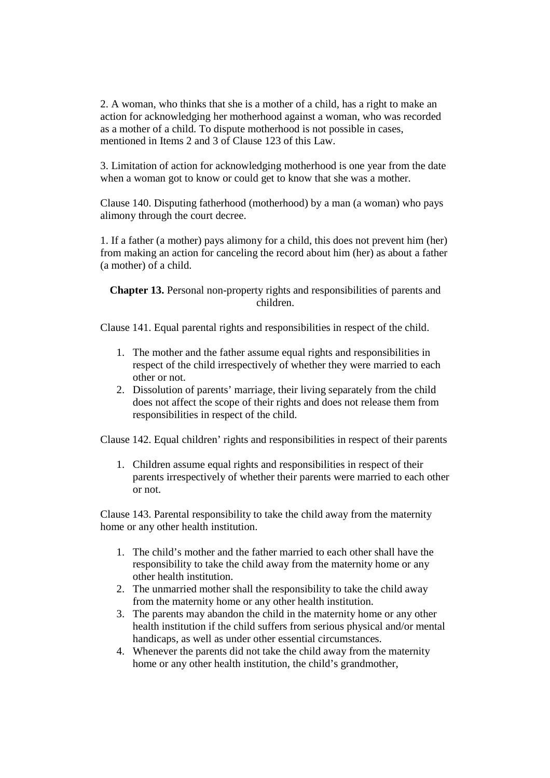2. A woman, who thinks that she is a mother of a child, has a right to make an action for acknowledging her motherhood against a woman, who was recorded as a mother of a child. To dispute motherhood is not possible in cases, mentioned in Items 2 and 3 of Clause 123 of this Law.

3. Limitation of action for acknowledging motherhood is one year from the date when a woman got to know or could get to know that she was a mother.

Clause 140. Disputing fatherhood (motherhood) by a man (a woman) who pays alimony through the court decree.

1. If a father (a mother) pays alimony for a child, this does not prevent him (her) from making an action for canceling the record about him (her) as about a father (a mother) of a child.

**Chapter 13.** Personal non-property rights and responsibilities of parents and children.

Clause 141. Equal parental rights and responsibilities in respect of the child.

- 1. The mother and the father assume equal rights and responsibilities in respect of the child irrespectively of whether they were married to each other or not.
- 2. Dissolution of parents' marriage, their living separately from the child does not affect the scope of their rights and does not release them from responsibilities in respect of the child.

Clause 142. Equal children' rights and responsibilities in respect of their parents

1. Children assume equal rights and responsibilities in respect of their parents irrespectively of whether their parents were married to each other or not.

Clause 143. Parental responsibility to take the child away from the maternity home or any other health institution.

- 1. The child's mother and the father married to each other shall have the responsibility to take the child away from the maternity home or any other health institution.
- 2. The unmarried mother shall the responsibility to take the child away from the maternity home or any other health institution.
- 3. The parents may abandon the child in the maternity home or any other health institution if the child suffers from serious physical and/or mental handicaps, as well as under other essential circumstances.
- 4. Whenever the parents did not take the child away from the maternity home or any other health institution, the child's grandmother,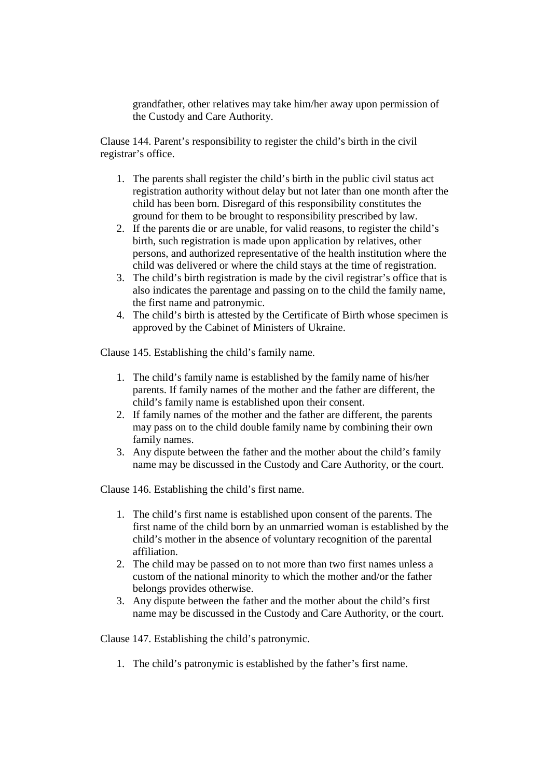grandfather, other relatives may take him/her away upon permission of the Custody and Care Authority.

Clause 144. Parent's responsibility to register the child's birth in the civil registrar's office.

- 1. The parents shall register the child's birth in the public civil status act registration authority without delay but not later than one month after the child has been born. Disregard of this responsibility constitutes the ground for them to be brought to responsibility prescribed by law.
- 2. If the parents die or are unable, for valid reasons, to register the child's birth, such registration is made upon application by relatives, other persons, and authorized representative of the health institution where the child was delivered or where the child stays at the time of registration.
- 3. The child's birth registration is made by the civil registrar's office that is also indicates the parentage and passing on to the child the family name, the first name and patronymic.
- 4. The child's birth is attested by the Certificate of Birth whose specimen is approved by the Cabinet of Ministers of Ukraine.

Clause 145. Establishing the child's family name.

- 1. The child's family name is established by the family name of his/her parents. If family names of the mother and the father are different, the child's family name is established upon their consent.
- 2. If family names of the mother and the father are different, the parents may pass on to the child double family name by combining their own family names.
- 3. Any dispute between the father and the mother about the child's family name may be discussed in the Custody and Care Authority, or the court.

Clause 146. Establishing the child's first name.

- 1. The child's first name is established upon consent of the parents. The first name of the child born by an unmarried woman is established by the child's mother in the absence of voluntary recognition of the parental affiliation.
- 2. The child may be passed on to not more than two first names unless a custom of the national minority to which the mother and/or the father belongs provides otherwise.
- 3. Any dispute between the father and the mother about the child's first name may be discussed in the Custody and Care Authority, or the court.

Clause 147. Establishing the child's patronymic.

1. The child's patronymic is established by the father's first name.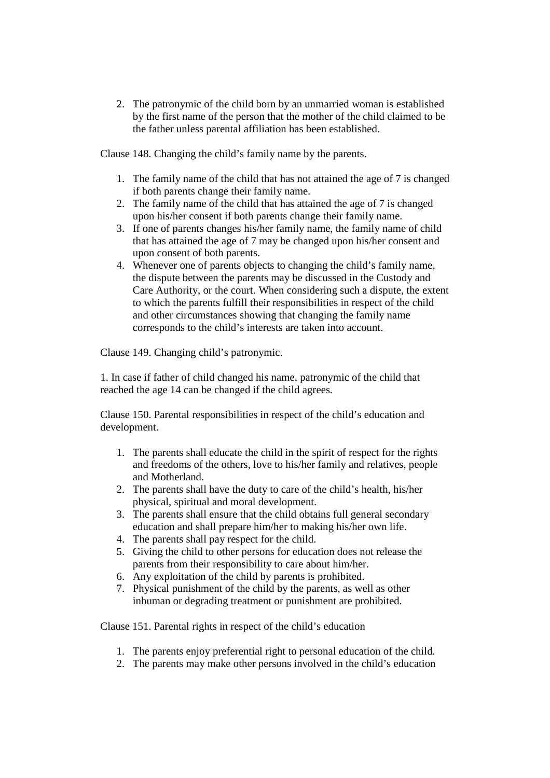2. The patronymic of the child born by an unmarried woman is established by the first name of the person that the mother of the child claimed to be the father unless parental affiliation has been established.

Clause 148. Changing the child's family name by the parents.

- 1. The family name of the child that has not attained the age of 7 is changed if both parents change their family name.
- 2. The family name of the child that has attained the age of 7 is changed upon his/her consent if both parents change their family name.
- 3. If one of parents changes his/her family name, the family name of child that has attained the age of 7 may be changed upon his/her consent and upon consent of both parents.
- 4. Whenever one of parents objects to changing the child's family name, the dispute between the parents may be discussed in the Custody and Care Authority, or the court. When considering such a dispute, the extent to which the parents fulfill their responsibilities in respect of the child and other circumstances showing that changing the family name corresponds to the child's interests are taken into account.

Clause 149. Changing child's patronymic.

1. In case if father of child changed his name, patronymic of the child that reached the age 14 can be changed if the child agrees.

Clause 150. Parental responsibilities in respect of the child's education and development.

- 1. The parents shall educate the child in the spirit of respect for the rights and freedoms of the others, love to his/her family and relatives, people and Motherland.
- 2. The parents shall have the duty to care of the child's health, his/her physical, spiritual and moral development.
- 3. The parents shall ensure that the child obtains full general secondary education and shall prepare him/her to making his/her own life.
- 4. The parents shall pay respect for the child.
- 5. Giving the child to other persons for education does not release the parents from their responsibility to care about him/her.
- 6. Any exploitation of the child by parents is prohibited.
- 7. Physical punishment of the child by the parents, as well as other inhuman or degrading treatment or punishment are prohibited.

Clause 151. Parental rights in respect of the child's education

- 1. The parents enjoy preferential right to personal education of the child.
- 2. The parents may make other persons involved in the child's education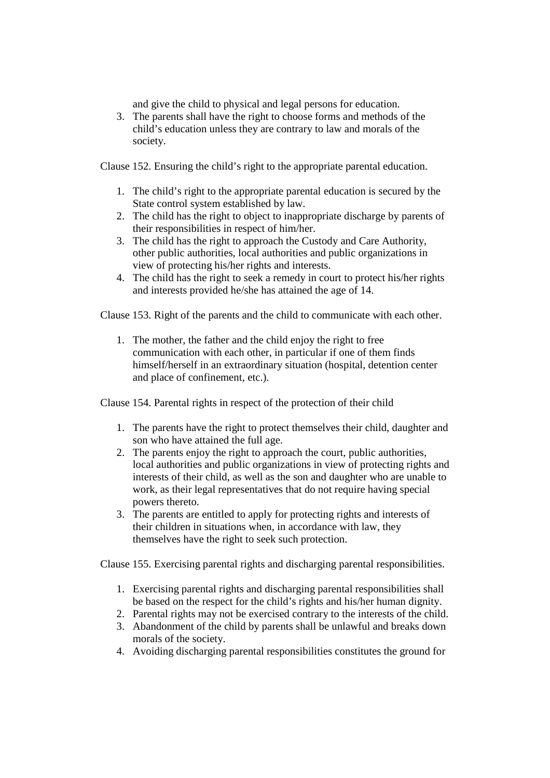and give the child to physical and legal persons for education.

3. The parents shall have the right to choose forms and methods of the child's education unless they are contrary to law and morals of the society.

Clause 152. Ensuring the child's right to the appropriate parental education.

- 1. The child's right to the appropriate parental education is secured by the State control system established by law.
- 2. The child has the right to object to inappropriate discharge by parents of their responsibilities in respect of him/her.
- 3. The child has the right to approach the Custody and Care Authority, other public authorities, local authorities and public organizations in view of protecting his/her rights and interests.
- 4. The child has the right to seek a remedy in court to protect his/her rights and interests provided he/she has attained the age of 14.

Clause 153. Right of the parents and the child to communicate with each other.

1. The mother, the father and the child enjoy the right to free communication with each other, in particular if one of them finds himself/herself in an extraordinary situation (hospital, detention center and place of confinement, etc.).

Clause 154. Parental rights in respect of the protection of their child

- 1. The parents have the right to protect themselves their child, daughter and son who have attained the full age.
- 2. The parents enjoy the right to approach the court, public authorities, local authorities and public organizations in view of protecting rights and interests of their child, as well as the son and daughter who are unable to work, as their legal representatives that do not require having special powers thereto.
- 3. The parents are entitled to apply for protecting rights and interests of their children in situations when, in accordance with law, they themselves have the right to seek such protection.

Clause 155. Exercising parental rights and discharging parental responsibilities.

- 1. Exercising parental rights and discharging parental responsibilities shall be based on the respect for the child's rights and his/her human dignity.
- 2. Parental rights may not be exercised contrary to the interests of the child.
- 3. Abandonment of the child by parents shall be unlawful and breaks down morals of the society.
- 4. Avoiding discharging parental responsibilities constitutes the ground for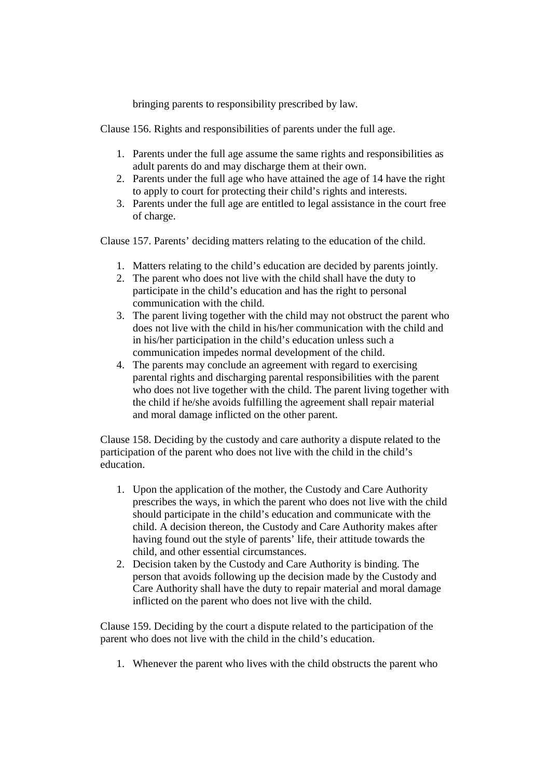bringing parents to responsibility prescribed by law.

Clause 156. Rights and responsibilities of parents under the full age.

- 1. Parents under the full age assume the same rights and responsibilities as adult parents do and may discharge them at their own.
- 2. Parents under the full age who have attained the age of 14 have the right to apply to court for protecting their child's rights and interests.
- 3. Parents under the full age are entitled to legal assistance in the court free of charge.

Clause 157. Parents' deciding matters relating to the education of the child.

- 1. Matters relating to the child's education are decided by parents jointly.
- 2. The parent who does not live with the child shall have the duty to participate in the child's education and has the right to personal communication with the child.
- 3. The parent living together with the child may not obstruct the parent who does not live with the child in his/her communication with the child and in his/her participation in the child's education unless such a communication impedes normal development of the child.
- 4. The parents may conclude an agreement with regard to exercising parental rights and discharging parental responsibilities with the parent who does not live together with the child. The parent living together with the child if he/she avoids fulfilling the agreement shall repair material and moral damage inflicted on the other parent.

Clause 158. Deciding by the custody and care authority a dispute related to the participation of the parent who does not live with the child in the child's education.

- 1. Upon the application of the mother, the Custody and Care Authority prescribes the ways, in which the parent who does not live with the child should participate in the child's education and communicate with the child. A decision thereon, the Custody and Care Authority makes after having found out the style of parents' life, their attitude towards the child, and other essential circumstances.
- 2. Decision taken by the Custody and Care Authority is binding. The person that avoids following up the decision made by the Custody and Care Authority shall have the duty to repair material and moral damage inflicted on the parent who does not live with the child.

Clause 159. Deciding by the court a dispute related to the participation of the parent who does not live with the child in the child's education.

1. Whenever the parent who lives with the child obstructs the parent who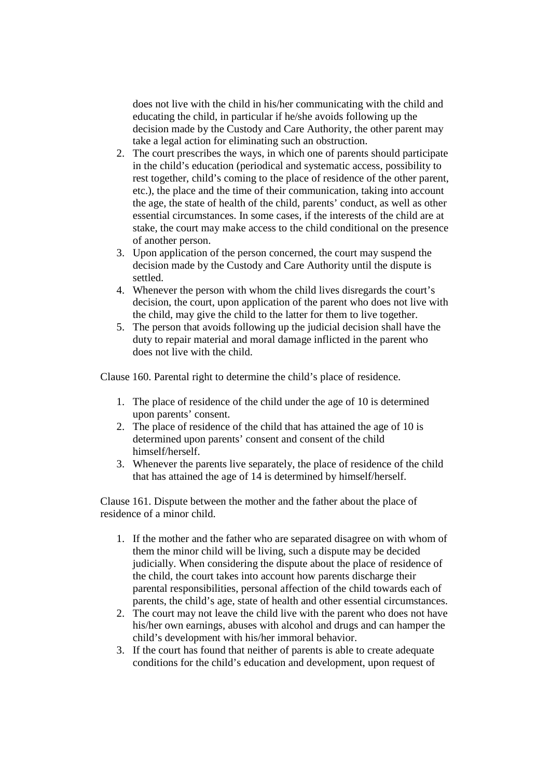does not live with the child in his/her communicating with the child and educating the child, in particular if he/she avoids following up the decision made by the Custody and Care Authority, the other parent may take a legal action for eliminating such an obstruction.

- 2. The court prescribes the ways, in which one of parents should participate in the child's education (periodical and systematic access, possibility to rest together, child's coming to the place of residence of the other parent, etc.), the place and the time of their communication, taking into account the age, the state of health of the child, parents' conduct, as well as other essential circumstances. In some cases, if the interests of the child are at stake, the court may make access to the child conditional on the presence of another person.
- 3. Upon application of the person concerned, the court may suspend the decision made by the Custody and Care Authority until the dispute is settled.
- 4. Whenever the person with whom the child lives disregards the court's decision, the court, upon application of the parent who does not live with the child, may give the child to the latter for them to live together.
- 5. The person that avoids following up the judicial decision shall have the duty to repair material and moral damage inflicted in the parent who does not live with the child.

Clause 160. Parental right to determine the child's place of residence.

- 1. The place of residence of the child under the age of 10 is determined upon parents' consent.
- 2. The place of residence of the child that has attained the age of 10 is determined upon parents' consent and consent of the child himself/herself.
- 3. Whenever the parents live separately, the place of residence of the child that has attained the age of 14 is determined by himself/herself.

Clause 161. Dispute between the mother and the father about the place of residence of a minor child.

- 1. If the mother and the father who are separated disagree on with whom of them the minor child will be living, such a dispute may be decided judicially. When considering the dispute about the place of residence of the child, the court takes into account how parents discharge their parental responsibilities, personal affection of the child towards each of parents, the child's age, state of health and other essential circumstances.
- 2. The court may not leave the child live with the parent who does not have his/her own earnings, abuses with alcohol and drugs and can hamper the child's development with his/her immoral behavior.
- 3. If the court has found that neither of parents is able to create adequate conditions for the child's education and development, upon request of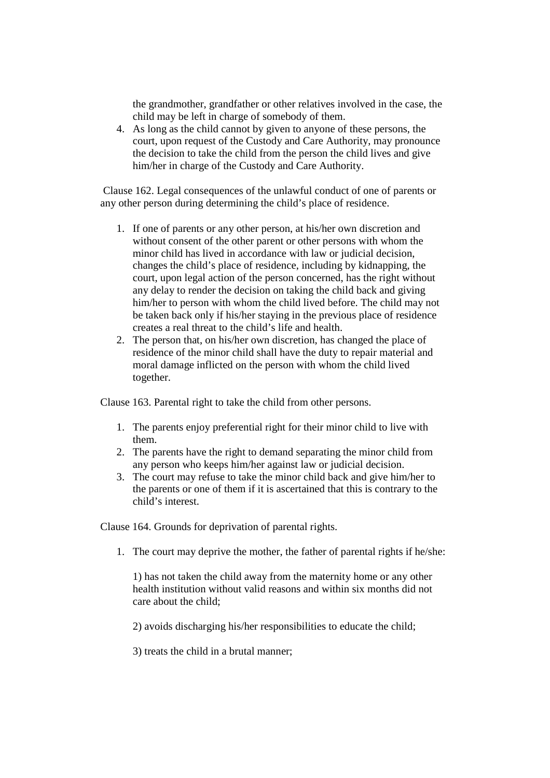the grandmother, grandfather or other relatives involved in the case, the child may be left in charge of somebody of them.

4. As long as the child cannot by given to anyone of these persons, the court, upon request of the Custody and Care Authority, may pronounce the decision to take the child from the person the child lives and give him/her in charge of the Custody and Care Authority.

 Clause 162. Legal consequences of the unlawful conduct of one of parents or any other person during determining the child's place of residence.

- 1. If one of parents or any other person, at his/her own discretion and without consent of the other parent or other persons with whom the minor child has lived in accordance with law or judicial decision, changes the child's place of residence, including by kidnapping, the court, upon legal action of the person concerned, has the right without any delay to render the decision on taking the child back and giving him/her to person with whom the child lived before. The child may not be taken back only if his/her staying in the previous place of residence creates a real threat to the child's life and health.
- 2. The person that, on his/her own discretion, has changed the place of residence of the minor child shall have the duty to repair material and moral damage inflicted on the person with whom the child lived together.

Clause 163. Parental right to take the child from other persons.

- 1. The parents enjoy preferential right for their minor child to live with them.
- 2. The parents have the right to demand separating the minor child from any person who keeps him/her against law or judicial decision.
- 3. The court may refuse to take the minor child back and give him/her to the parents or one of them if it is ascertained that this is contrary to the child's interest.

Clause 164. Grounds for deprivation of parental rights.

1. The court may deprive the mother, the father of parental rights if he/she:

1) has not taken the child away from the maternity home or any other health institution without valid reasons and within six months did not care about the child;

2) avoids discharging his/her responsibilities to educate the child;

3) treats the child in a brutal manner;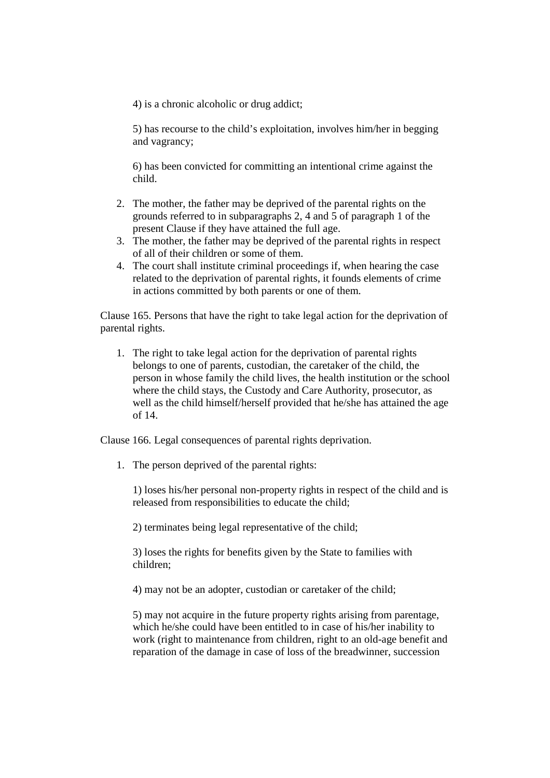4) is a chronic alcoholic or drug addict;

5) has recourse to the child's exploitation, involves him/her in begging and vagrancy;

6) has been convicted for committing an intentional crime against the child.

- 2. The mother, the father may be deprived of the parental rights on the grounds referred to in subparagraphs 2, 4 and 5 of paragraph 1 of the present Clause if they have attained the full age.
- 3. The mother, the father may be deprived of the parental rights in respect of all of their children or some of them.
- 4. The court shall institute criminal proceedings if, when hearing the case related to the deprivation of parental rights, it founds elements of crime in actions committed by both parents or one of them.

Clause 165. Persons that have the right to take legal action for the deprivation of parental rights.

1. The right to take legal action for the deprivation of parental rights belongs to one of parents, custodian, the caretaker of the child, the person in whose family the child lives, the health institution or the school where the child stays, the Custody and Care Authority, prosecutor, as well as the child himself/herself provided that he/she has attained the age of 14.

Clause 166. Legal consequences of parental rights deprivation.

1. The person deprived of the parental rights:

1) loses his/her personal non-property rights in respect of the child and is released from responsibilities to educate the child;

2) terminates being legal representative of the child;

3) loses the rights for benefits given by the State to families with children;

4) may not be an adopter, custodian or caretaker of the child;

5) may not acquire in the future property rights arising from parentage, which he/she could have been entitled to in case of his/her inability to work (right to maintenance from children, right to an old-age benefit and reparation of the damage in case of loss of the breadwinner, succession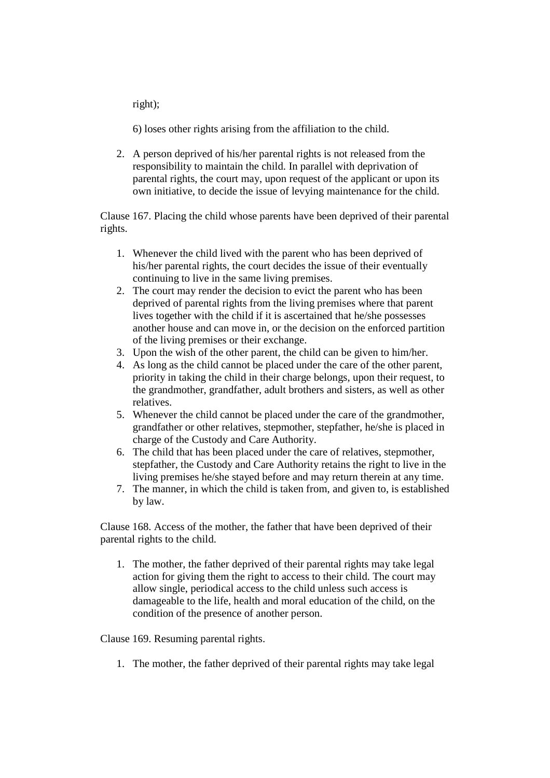right);

6) loses other rights arising from the affiliation to the child.

2. A person deprived of his/her parental rights is not released from the responsibility to maintain the child. In parallel with deprivation of parental rights, the court may, upon request of the applicant or upon its own initiative, to decide the issue of levying maintenance for the child.

Clause 167. Placing the child whose parents have been deprived of their parental rights.

- 1. Whenever the child lived with the parent who has been deprived of his/her parental rights, the court decides the issue of their eventually continuing to live in the same living premises.
- 2. The court may render the decision to evict the parent who has been deprived of parental rights from the living premises where that parent lives together with the child if it is ascertained that he/she possesses another house and can move in, or the decision on the enforced partition of the living premises or their exchange.
- 3. Upon the wish of the other parent, the child can be given to him/her.
- 4. As long as the child cannot be placed under the care of the other parent, priority in taking the child in their charge belongs, upon their request, to the grandmother, grandfather, adult brothers and sisters, as well as other relatives.
- 5. Whenever the child cannot be placed under the care of the grandmother, grandfather or other relatives, stepmother, stepfather, he/she is placed in charge of the Custody and Care Authority.
- 6. The child that has been placed under the care of relatives, stepmother, stepfather, the Custody and Care Authority retains the right to live in the living premises he/she stayed before and may return therein at any time.
- 7. The manner, in which the child is taken from, and given to, is established by law.

Clause 168. Access of the mother, the father that have been deprived of their parental rights to the child.

1. The mother, the father deprived of their parental rights may take legal action for giving them the right to access to their child. The court may allow single, periodical access to the child unless such access is damageable to the life, health and moral education of the child, on the condition of the presence of another person.

Clause 169. Resuming parental rights.

1. The mother, the father deprived of their parental rights may take legal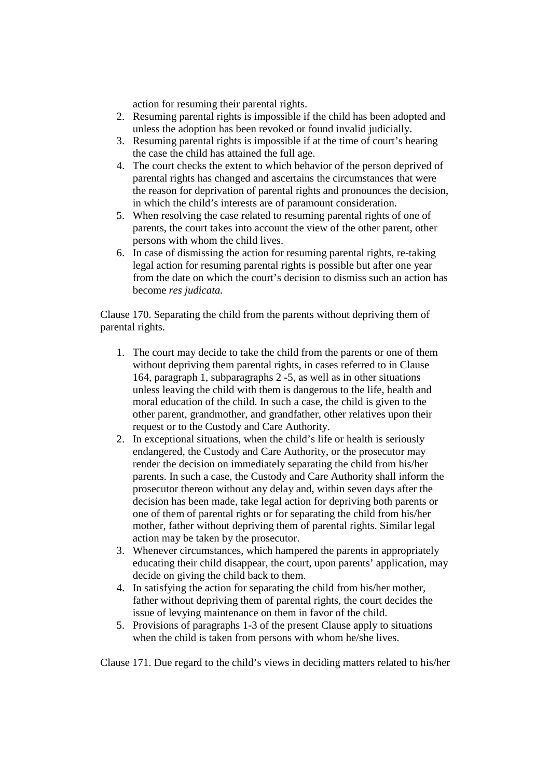action for resuming their parental rights.

- 2. Resuming parental rights is impossible if the child has been adopted and unless the adoption has been revoked or found invalid judicially.
- 3. Resuming parental rights is impossible if at the time of court's hearing the case the child has attained the full age.
- 4. The court checks the extent to which behavior of the person deprived of parental rights has changed and ascertains the circumstances that were the reason for deprivation of parental rights and pronounces the decision, in which the child's interests are of paramount consideration.
- 5. When resolving the case related to resuming parental rights of one of parents, the court takes into account the view of the other parent, other persons with whom the child lives.
- 6. In case of dismissing the action for resuming parental rights, re-taking legal action for resuming parental rights is possible but after one year from the date on which the court's decision to dismiss such an action has become *res judicata.*

Clause 170. Separating the child from the parents without depriving them of parental rights.

- 1. The court may decide to take the child from the parents or one of them without depriving them parental rights, in cases referred to in Clause 164, paragraph 1, subparagraphs 2 -5, as well as in other situations unless leaving the child with them is dangerous to the life, health and moral education of the child. In such a case, the child is given to the other parent, grandmother, and grandfather, other relatives upon their request or to the Custody and Care Authority.
- 2. In exceptional situations, when the child's life or health is seriously endangered, the Custody and Care Authority, or the prosecutor may render the decision on immediately separating the child from his/her parents. In such a case, the Custody and Care Authority shall inform the prosecutor thereon without any delay and, within seven days after the decision has been made, take legal action for depriving both parents or one of them of parental rights or for separating the child from his/her mother, father without depriving them of parental rights. Similar legal action may be taken by the prosecutor.
- 3. Whenever circumstances, which hampered the parents in appropriately educating their child disappear, the court, upon parents' application, may decide on giving the child back to them.
- 4. In satisfying the action for separating the child from his/her mother, father without depriving them of parental rights, the court decides the issue of levying maintenance on them in favor of the child.
- 5. Provisions of paragraphs 1-3 of the present Clause apply to situations when the child is taken from persons with whom he/she lives.

Clause 171. Due regard to the child's views in deciding matters related to his/her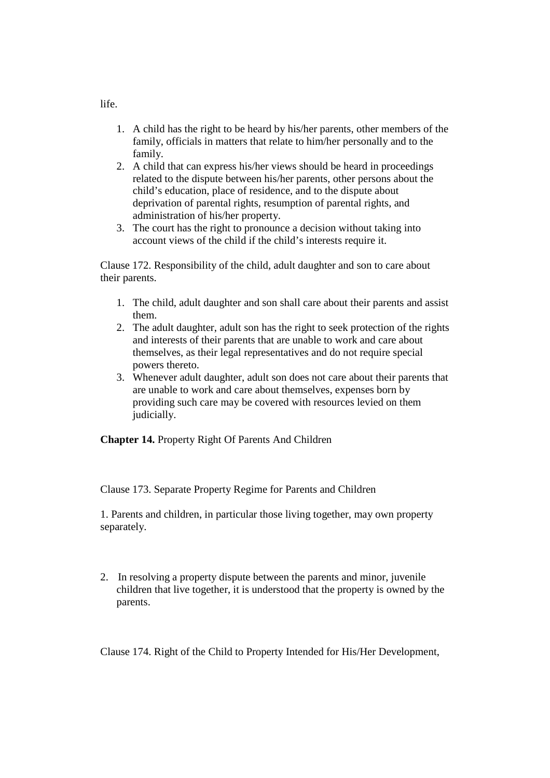- 1. A child has the right to be heard by his/her parents, other members of the family, officials in matters that relate to him/her personally and to the family.
- 2. A child that can express his/her views should be heard in proceedings related to the dispute between his/her parents, other persons about the child's education, place of residence, and to the dispute about deprivation of parental rights, resumption of parental rights, and administration of his/her property.
- 3. The court has the right to pronounce a decision without taking into account views of the child if the child's interests require it.

Clause 172. Responsibility of the child, adult daughter and son to care about their parents.

- 1. The child, adult daughter and son shall care about their parents and assist them.
- 2. The adult daughter, adult son has the right to seek protection of the rights and interests of their parents that are unable to work and care about themselves, as their legal representatives and do not require special powers thereto.
- 3. Whenever adult daughter, adult son does not care about their parents that are unable to work and care about themselves, expenses born by providing such care may be covered with resources levied on them judicially.

**Chapter 14.** Property Right Of Parents And Children

Clause 173. Separate Property Regime for Parents and Children

1. Parents and children, in particular those living together, may own property separately.

2. In resolving a property dispute between the parents and minor, juvenile children that live together, it is understood that the property is owned by the parents.

Clause 174. Right of the Child to Property Intended for His/Her Development,

life.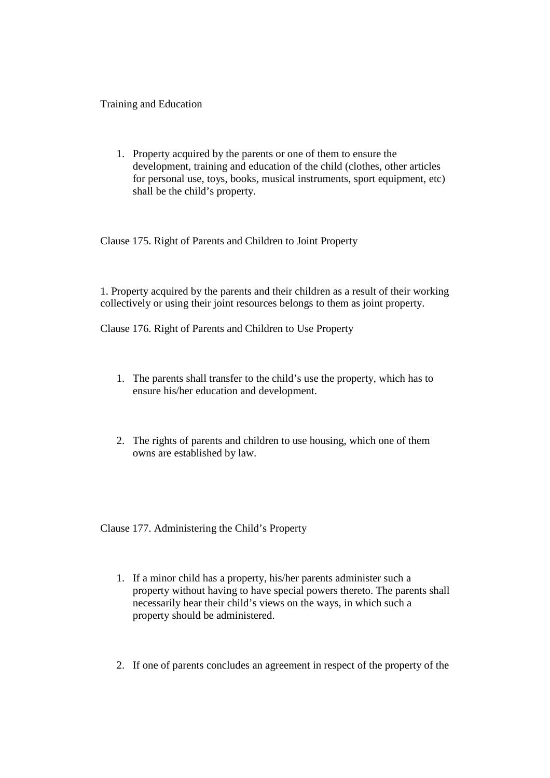Training and Education

1. Property acquired by the parents or one of them to ensure the development, training and education of the child (clothes, other articles for personal use, toys, books, musical instruments, sport equipment, etc) shall be the child's property.

Clause 175. Right of Parents and Children to Joint Property

1. Property acquired by the parents and their children as a result of their working collectively or using their joint resources belongs to them as joint property.

Clause 176. Right of Parents and Children to Use Property

- 1. The parents shall transfer to the child's use the property, which has to ensure his/her education and development.
- 2. The rights of parents and children to use housing, which one of them owns are established by law.

Clause 177. Administering the Child's Property

- 1. If a minor child has a property, his/her parents administer such a property without having to have special powers thereto. The parents shall necessarily hear their child's views on the ways, in which such a property should be administered.
- 2. If one of parents concludes an agreement in respect of the property of the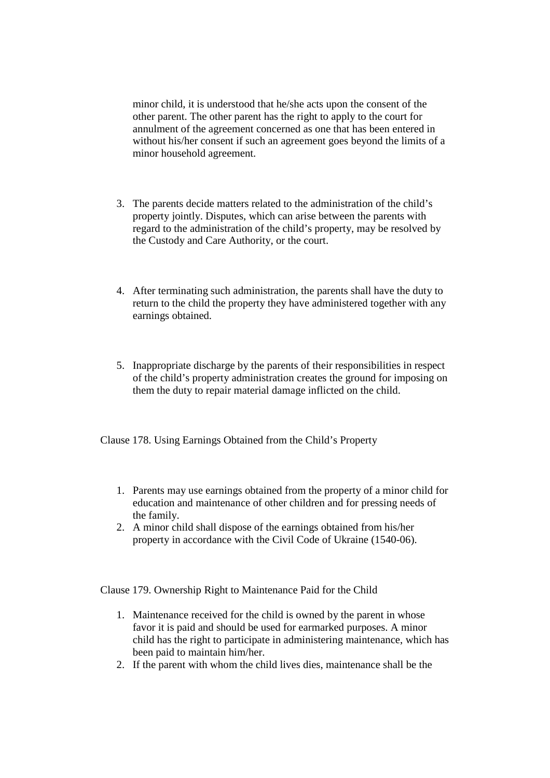minor child, it is understood that he/she acts upon the consent of the other parent. The other parent has the right to apply to the court for annulment of the agreement concerned as one that has been entered in without his/her consent if such an agreement goes beyond the limits of a minor household agreement.

- 3. The parents decide matters related to the administration of the child's property jointly. Disputes, which can arise between the parents with regard to the administration of the child's property, may be resolved by the Custody and Care Authority, or the court.
- 4. After terminating such administration, the parents shall have the duty to return to the child the property they have administered together with any earnings obtained.
- 5. Inappropriate discharge by the parents of their responsibilities in respect of the child's property administration creates the ground for imposing on them the duty to repair material damage inflicted on the child.

Clause 178. Using Earnings Obtained from the Child's Property

- 1. Parents may use earnings obtained from the property of a minor child for education and maintenance of other children and for pressing needs of the family.
- 2. A minor child shall dispose of the earnings obtained from his/her property in accordance with the Civil Code of Ukraine (1540-06).

Clause 179. Ownership Right to Maintenance Paid for the Child

- 1. Maintenance received for the child is owned by the parent in whose favor it is paid and should be used for earmarked purposes. A minor child has the right to participate in administering maintenance, which has been paid to maintain him/her.
- 2. If the parent with whom the child lives dies, maintenance shall be the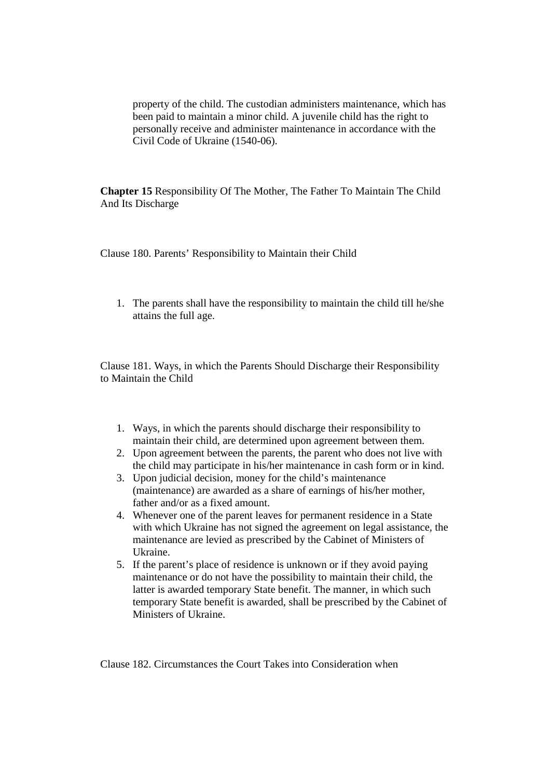property of the child. The custodian administers maintenance, which has been paid to maintain a minor child. A juvenile child has the right to personally receive and administer maintenance in accordance with the Civil Code of Ukraine (1540-06).

**Chapter 15** Responsibility Of The Mother, The Father To Maintain The Child And Its Discharge

Clause 180. Parents' Responsibility to Maintain their Child

1. The parents shall have the responsibility to maintain the child till he/she attains the full age.

Clause 181. Ways, in which the Parents Should Discharge their Responsibility to Maintain the Child

- 1. Ways, in which the parents should discharge their responsibility to maintain their child, are determined upon agreement between them.
- 2. Upon agreement between the parents, the parent who does not live with the child may participate in his/her maintenance in cash form or in kind.
- 3. Upon judicial decision, money for the child's maintenance (maintenance) are awarded as a share of earnings of his/her mother, father and/or as a fixed amount.
- 4. Whenever one of the parent leaves for permanent residence in a State with which Ukraine has not signed the agreement on legal assistance, the maintenance are levied as prescribed by the Cabinet of Ministers of Ukraine.
- 5. If the parent's place of residence is unknown or if they avoid paying maintenance or do not have the possibility to maintain their child, the latter is awarded temporary State benefit. The manner, in which such temporary State benefit is awarded, shall be prescribed by the Cabinet of Ministers of Ukraine.

Clause 182. Circumstances the Court Takes into Consideration when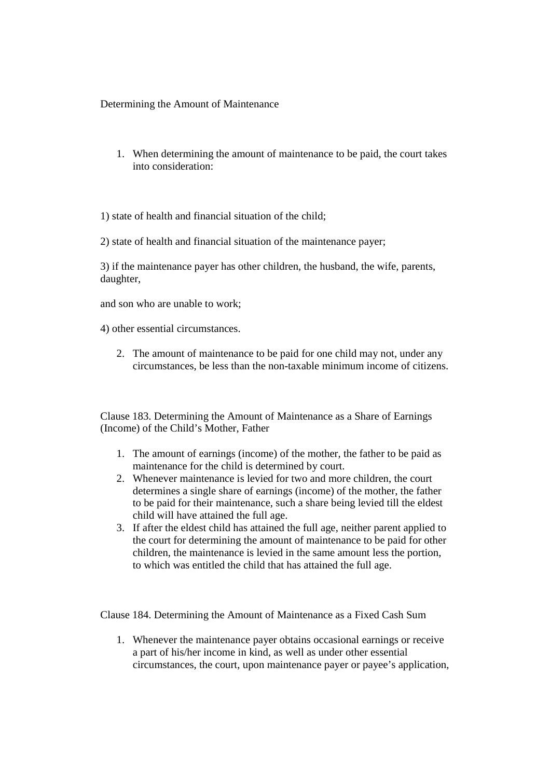Determining the Amount of Maintenance

1. When determining the amount of maintenance to be paid, the court takes into consideration:

1) state of health and financial situation of the child;

2) state of health and financial situation of the maintenance payer;

3) if the maintenance payer has other children, the husband, the wife, parents, daughter,

and son who are unable to work;

4) other essential circumstances.

2. The amount of maintenance to be paid for one child may not, under any circumstances, be less than the non-taxable minimum income of citizens.

Clause 183. Determining the Amount of Maintenance as a Share of Earnings (Income) of the Child's Mother, Father

- 1. The amount of earnings (income) of the mother, the father to be paid as maintenance for the child is determined by court.
- 2. Whenever maintenance is levied for two and more children, the court determines a single share of earnings (income) of the mother, the father to be paid for their maintenance, such a share being levied till the eldest child will have attained the full age.
- 3. If after the eldest child has attained the full age, neither parent applied to the court for determining the amount of maintenance to be paid for other children, the maintenance is levied in the same amount less the portion, to which was entitled the child that has attained the full age.

Clause 184. Determining the Amount of Maintenance as a Fixed Cash Sum

1. Whenever the maintenance payer obtains occasional earnings or receive a part of his/her income in kind, as well as under other essential circumstances, the court, upon maintenance payer or payee's application,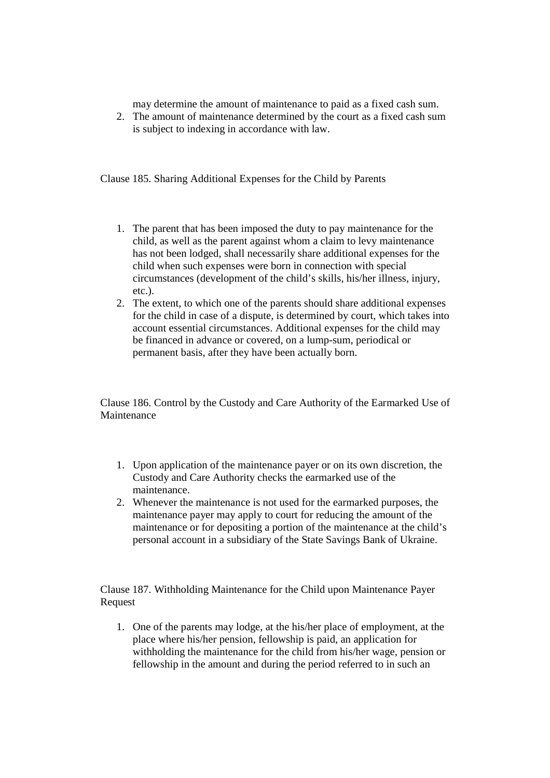may determine the amount of maintenance to paid as a fixed cash sum.

2. The amount of maintenance determined by the court as a fixed cash sum is subject to indexing in accordance with law.

Clause 185. Sharing Additional Expenses for the Child by Parents

- 1. The parent that has been imposed the duty to pay maintenance for the child, as well as the parent against whom a claim to levy maintenance has not been lodged, shall necessarily share additional expenses for the child when such expenses were born in connection with special circumstances (development of the child's skills, his/her illness, injury, etc.).
- 2. The extent, to which one of the parents should share additional expenses for the child in case of a dispute, is determined by court, which takes into account essential circumstances. Additional expenses for the child may be financed in advance or covered, on a lump-sum, periodical or permanent basis, after they have been actually born.

Clause 186. Control by the Custody and Care Authority of the Earmarked Use of Maintenance

- 1. Upon application of the maintenance payer or on its own discretion, the Custody and Care Authority checks the earmarked use of the maintenance.
- 2. Whenever the maintenance is not used for the earmarked purposes, the maintenance payer may apply to court for reducing the amount of the maintenance or for depositing a portion of the maintenance at the child's personal account in a subsidiary of the State Savings Bank of Ukraine.

Clause 187. Withholding Maintenance for the Child upon Maintenance Payer Request

1. One of the parents may lodge, at the his/her place of employment, at the place where his/her pension, fellowship is paid, an application for withholding the maintenance for the child from his/her wage, pension or fellowship in the amount and during the period referred to in such an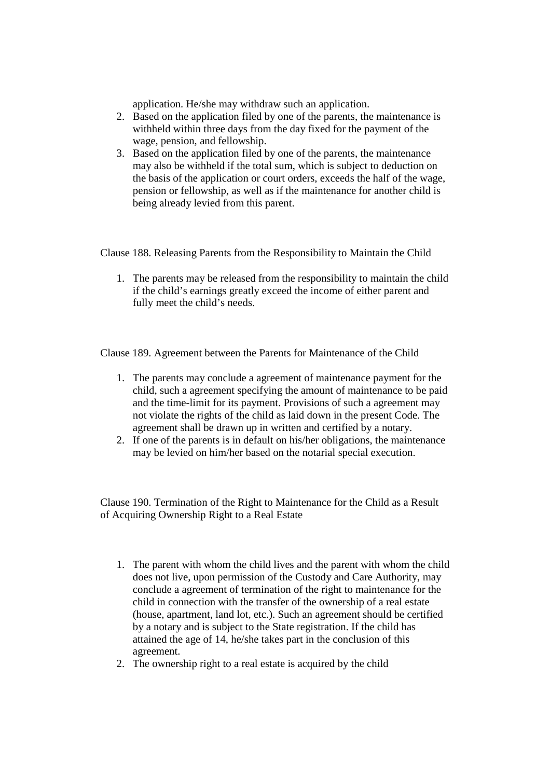application. He/she may withdraw such an application.

- 2. Based on the application filed by one of the parents, the maintenance is withheld within three days from the day fixed for the payment of the wage, pension, and fellowship.
- 3. Based on the application filed by one of the parents, the maintenance may also be withheld if the total sum, which is subject to deduction on the basis of the application or court orders, exceeds the half of the wage, pension or fellowship, as well as if the maintenance for another child is being already levied from this parent.

Clause 188. Releasing Parents from the Responsibility to Maintain the Child

1. The parents may be released from the responsibility to maintain the child if the child's earnings greatly exceed the income of either parent and fully meet the child's needs.

Clause 189. Agreement between the Parents for Maintenance of the Child

- 1. The parents may conclude a agreement of maintenance payment for the child, such a agreement specifying the amount of maintenance to be paid and the time-limit for its payment. Provisions of such a agreement may not violate the rights of the child as laid down in the present Code. The agreement shall be drawn up in written and certified by a notary.
- 2. If one of the parents is in default on his/her obligations, the maintenance may be levied on him/her based on the notarial special execution.

Clause 190. Termination of the Right to Maintenance for the Child as a Result of Acquiring Ownership Right to a Real Estate

- 1. The parent with whom the child lives and the parent with whom the child does not live, upon permission of the Custody and Care Authority, may conclude a agreement of termination of the right to maintenance for the child in connection with the transfer of the ownership of a real estate (house, apartment, land lot, etc.). Such an agreement should be certified by a notary and is subject to the State registration. If the child has attained the age of 14, he/she takes part in the conclusion of this agreement.
- 2. The ownership right to a real estate is acquired by the child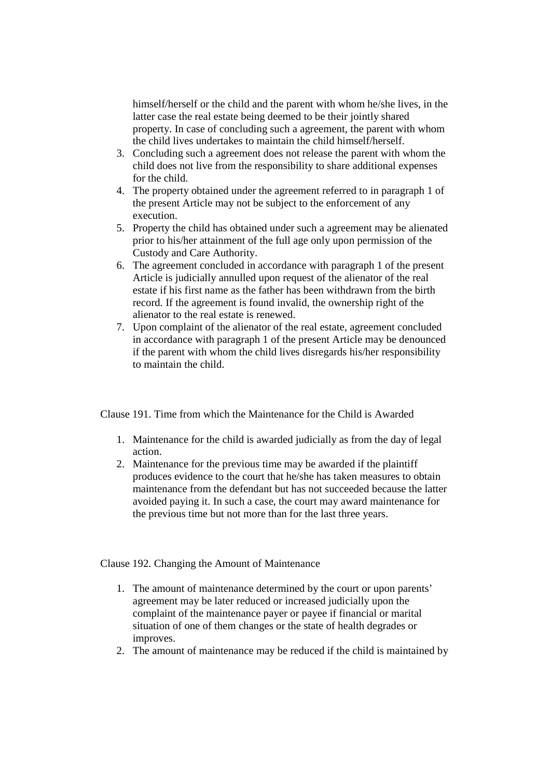himself/herself or the child and the parent with whom he/she lives, in the latter case the real estate being deemed to be their jointly shared property. In case of concluding such a agreement, the parent with whom the child lives undertakes to maintain the child himself/herself.

- 3. Concluding such a agreement does not release the parent with whom the child does not live from the responsibility to share additional expenses for the child.
- 4. The property obtained under the agreement referred to in paragraph 1 of the present Article may not be subject to the enforcement of any execution.
- 5. Property the child has obtained under such a agreement may be alienated prior to his/her attainment of the full age only upon permission of the Custody and Care Authority.
- 6. The agreement concluded in accordance with paragraph 1 of the present Article is judicially annulled upon request of the alienator of the real estate if his first name as the father has been withdrawn from the birth record. If the agreement is found invalid, the ownership right of the alienator to the real estate is renewed.
- 7. Upon complaint of the alienator of the real estate, agreement concluded in accordance with paragraph 1 of the present Article may be denounced if the parent with whom the child lives disregards his/her responsibility to maintain the child.

Clause 191. Time from which the Maintenance for the Child is Awarded

- 1. Maintenance for the child is awarded judicially as from the day of legal action.
- 2. Maintenance for the previous time may be awarded if the plaintiff produces evidence to the court that he/she has taken measures to obtain maintenance from the defendant but has not succeeded because the latter avoided paying it. In such a case, the court may award maintenance for the previous time but not more than for the last three years.

Clause 192. Changing the Amount of Maintenance

- 1. The amount of maintenance determined by the court or upon parents' agreement may be later reduced or increased judicially upon the complaint of the maintenance payer or payee if financial or marital situation of one of them changes or the state of health degrades or improves.
- 2. The amount of maintenance may be reduced if the child is maintained by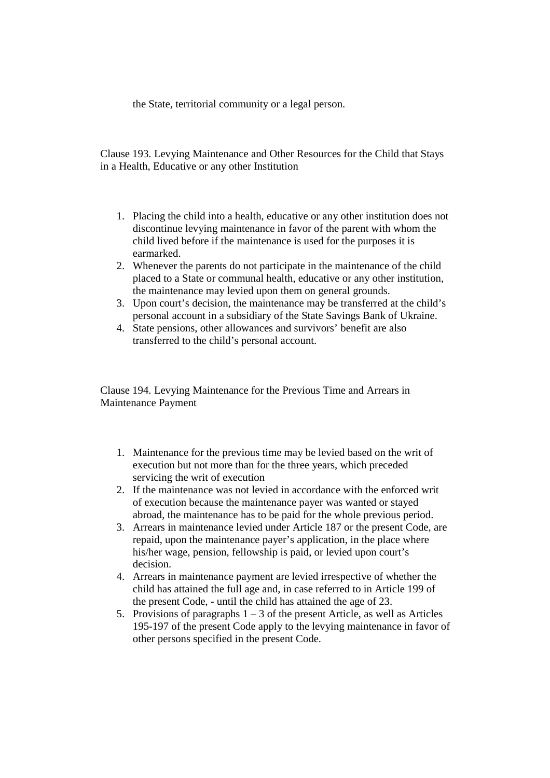the State, territorial community or a legal person.

Clause 193. Levying Maintenance and Other Resources for the Child that Stays in a Health, Educative or any other Institution

- 1. Placing the child into a health, educative or any other institution does not discontinue levying maintenance in favor of the parent with whom the child lived before if the maintenance is used for the purposes it is earmarked.
- 2. Whenever the parents do not participate in the maintenance of the child placed to a State or communal health, educative or any other institution, the maintenance may levied upon them on general grounds.
- 3. Upon court's decision, the maintenance may be transferred at the child's personal account in a subsidiary of the State Savings Bank of Ukraine.
- 4. State pensions, other allowances and survivors' benefit are also transferred to the child's personal account.

Clause 194. Levying Maintenance for the Previous Time and Arrears in Maintenance Payment

- 1. Maintenance for the previous time may be levied based on the writ of execution but not more than for the three years, which preceded servicing the writ of execution
- 2. If the maintenance was not levied in accordance with the enforced writ of execution because the maintenance payer was wanted or stayed abroad, the maintenance has to be paid for the whole previous period.
- 3. Arrears in maintenance levied under Article 187 or the present Code, are repaid, upon the maintenance payer's application, in the place where his/her wage, pension, fellowship is paid, or levied upon court's decision.
- 4. Arrears in maintenance payment are levied irrespective of whether the child has attained the full age and, in case referred to in Article 199 of the present Code, - until the child has attained the age of 23.
- 5. Provisions of paragraphs  $1 3$  of the present Article, as well as Articles 195-197 of the present Code apply to the levying maintenance in favor of other persons specified in the present Code.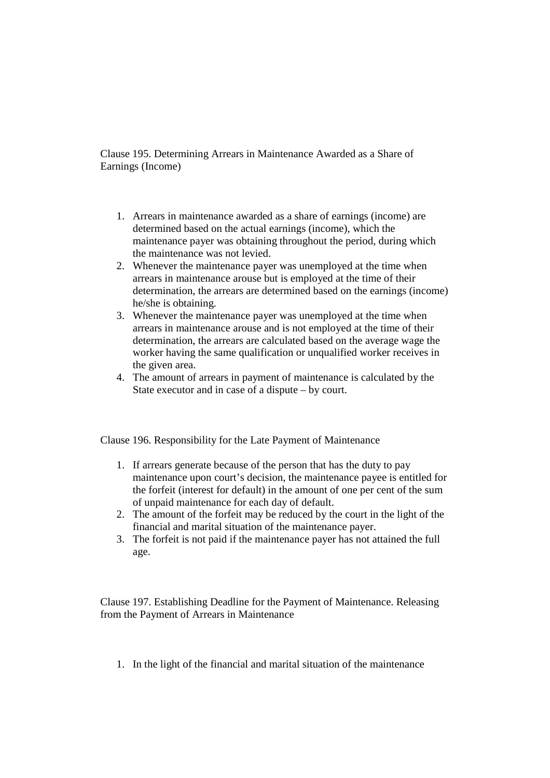Clause 195. Determining Arrears in Maintenance Awarded as a Share of Earnings (Income)

- 1. Arrears in maintenance awarded as a share of earnings (income) are determined based on the actual earnings (income), which the maintenance payer was obtaining throughout the period, during which the maintenance was not levied.
- 2. Whenever the maintenance payer was unemployed at the time when arrears in maintenance arouse but is employed at the time of their determination, the arrears are determined based on the earnings (income) he/she is obtaining.
- 3. Whenever the maintenance payer was unemployed at the time when arrears in maintenance arouse and is not employed at the time of their determination, the arrears are calculated based on the average wage the worker having the same qualification or unqualified worker receives in the given area.
- 4. The amount of arrears in payment of maintenance is calculated by the State executor and in case of a dispute – by court.

Clause 196. Responsibility for the Late Payment of Maintenance

- 1. If arrears generate because of the person that has the duty to pay maintenance upon court's decision, the maintenance payee is entitled for the forfeit (interest for default) in the amount of one per cent of the sum of unpaid maintenance for each day of default.
- 2. The amount of the forfeit may be reduced by the court in the light of the financial and marital situation of the maintenance payer.
- 3. The forfeit is not paid if the maintenance payer has not attained the full age.

Clause 197. Establishing Deadline for the Payment of Maintenance. Releasing from the Payment of Arrears in Maintenance

1. In the light of the financial and marital situation of the maintenance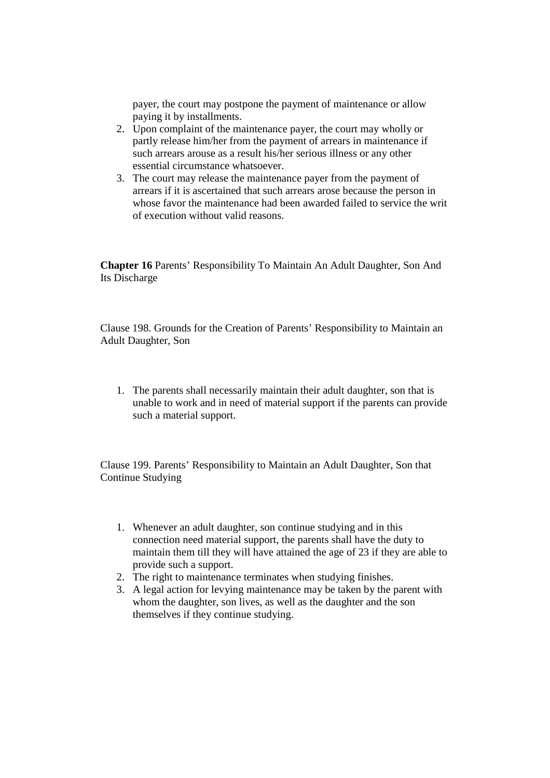payer, the court may postpone the payment of maintenance or allow paying it by installments.

- 2. Upon complaint of the maintenance payer, the court may wholly or partly release him/her from the payment of arrears in maintenance if such arrears arouse as a result his/her serious illness or any other essential circumstance whatsoever.
- 3. The court may release the maintenance payer from the payment of arrears if it is ascertained that such arrears arose because the person in whose favor the maintenance had been awarded failed to service the writ of execution without valid reasons.

**Chapter 16** Parents' Responsibility To Maintain An Adult Daughter, Son And Its Discharge

Clause 198. Grounds for the Creation of Parents' Responsibility to Maintain an Adult Daughter, Son

1. The parents shall necessarily maintain their adult daughter, son that is unable to work and in need of material support if the parents can provide such a material support.

Clause 199. Parents' Responsibility to Maintain an Adult Daughter, Son that Continue Studying

- 1. Whenever an adult daughter, son continue studying and in this connection need material support, the parents shall have the duty to maintain them till they will have attained the age of 23 if they are able to provide such a support.
- 2. The right to maintenance terminates when studying finishes.
- 3. A legal action for levying maintenance may be taken by the parent with whom the daughter, son lives, as well as the daughter and the son themselves if they continue studying.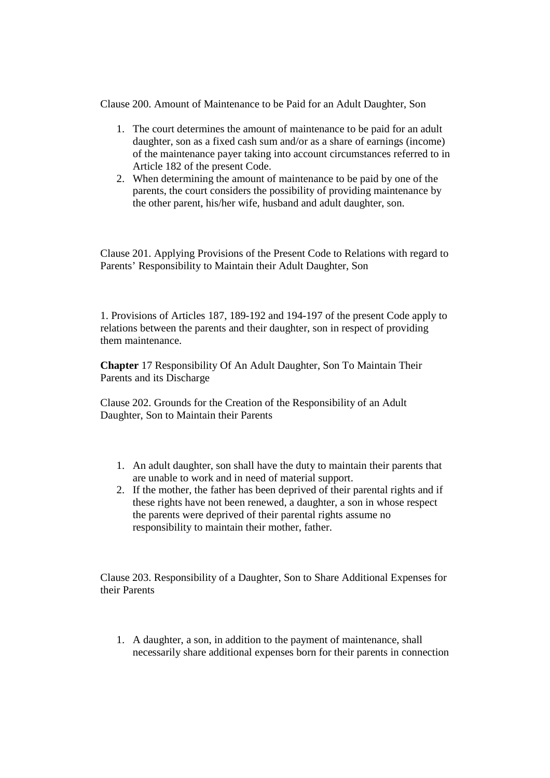Clause 200. Amount of Maintenance to be Paid for an Adult Daughter, Son

- 1. The court determines the amount of maintenance to be paid for an adult daughter, son as a fixed cash sum and/or as a share of earnings (income) of the maintenance payer taking into account circumstances referred to in Article 182 of the present Code.
- 2. When determining the amount of maintenance to be paid by one of the parents, the court considers the possibility of providing maintenance by the other parent, his/her wife, husband and adult daughter, son.

Clause 201. Applying Provisions of the Present Code to Relations with regard to Parents' Responsibility to Maintain their Adult Daughter, Son

1. Provisions of Articles 187, 189-192 and 194-197 of the present Code apply to relations between the parents and their daughter, son in respect of providing them maintenance.

**Chapter** 17 Responsibility Of An Adult Daughter, Son To Maintain Their Parents and its Discharge

Clause 202. Grounds for the Creation of the Responsibility of an Adult Daughter, Son to Maintain their Parents

- 1. An adult daughter, son shall have the duty to maintain their parents that are unable to work and in need of material support.
- 2. If the mother, the father has been deprived of their parental rights and if these rights have not been renewed, a daughter, a son in whose respect the parents were deprived of their parental rights assume no responsibility to maintain their mother, father.

Clause 203. Responsibility of a Daughter, Son to Share Additional Expenses for their Parents

1. A daughter, a son, in addition to the payment of maintenance, shall necessarily share additional expenses born for their parents in connection